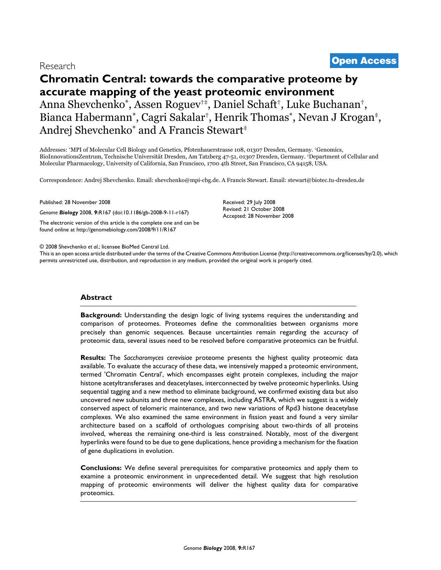# **Chromatin Central: towards the comparative proteome by accurate mapping of the yeast proteomic environment** Anna Shevchenko\*, Assen Roguev†‡, Daniel Schaft†, Luke Buchanan†, Bianca Habermann\*, Cagri Sakalar†, Henrik Thomas\*, Nevan J Krogan‡, Andrej Shevchenko\* and A Francis Stewart<sup>‡</sup>

Addresses: \*MPI of Molecular Cell Biology and Genetics, Pfotenhauerstrasse 108, 01307 Dresden, Germany. †Genomics, BioInnovationsZentrum, Technische Universität Dresden, Am Tatzberg 47-51, 01307 Dresden, Germany. ‡Department of Cellular and Molecular Pharmacology, University of California, San Francisco, 1700 4th Street, San Francisco, CA 94158, USA.

Correspondence: Andrej Shevchenko. Email: shevchenko@mpi-cbg.de. A Francis Stewart. Email: stewart@biotec.tu-dresden.de

Published: 28 November 2008

*Genome Biology* 2008, **9:**R167 (doi:10.1186/gb-2008-9-11-r167)

[The electronic version of this article is the complete one and can be](http://genomebiology.com/2008/9/11/R167)  found online at http://genomebiology.com/2008/9/11/R167

© 2008 Shevchenko *et al*.; licensee BioMed Central Ltd.

[This is an open access article distributed under the terms of the Creative Commons Attribution License \(http://creativecommons.org/licenses/by/2.0\), which](http://creativecommons.org/licenses/by/2.0)  permits unrestricted use, distribution, and reproduction in any medium, provided the original work is properly cited.

Received: 29 July 2008 Revised: 21 October 2008 Accepted: 28 November 2008

# **Abstract**

**Background:** Understanding the design logic of living systems requires the understanding and comparison of proteomes. Proteomes define the commonalities between organisms more precisely than genomic sequences. Because uncertainties remain regarding the accuracy of proteomic data, several issues need to be resolved before comparative proteomics can be fruitful.

**Results:** The *Saccharomyces cerevisiae* proteome presents the highest quality proteomic data available. To evaluate the accuracy of these data, we intensively mapped a proteomic environment, termed 'Chromatin Central', which encompasses eight protein complexes, including the major histone acetyltransferases and deacetylases, interconnected by twelve proteomic hyperlinks. Using sequential tagging and a new method to eliminate background, we confirmed existing data but also uncovered new subunits and three new complexes, including ASTRA, which we suggest is a widely conserved aspect of telomeric maintenance, and two new variations of Rpd3 histone deacetylase complexes. We also examined the same environment in fission yeast and found a very similar architecture based on a scaffold of orthologues comprising about two-thirds of all proteins involved, whereas the remaining one-third is less constrained. Notably, most of the divergent hyperlinks were found to be due to gene duplications, hence providing a mechanism for the fixation of gene duplications in evolution.

**Conclusions:** We define several prerequisites for comparative proteomics and apply them to examine a proteomic environment in unprecedented detail. We suggest that high resolution mapping of proteomic environments will deliver the highest quality data for comparative proteomics.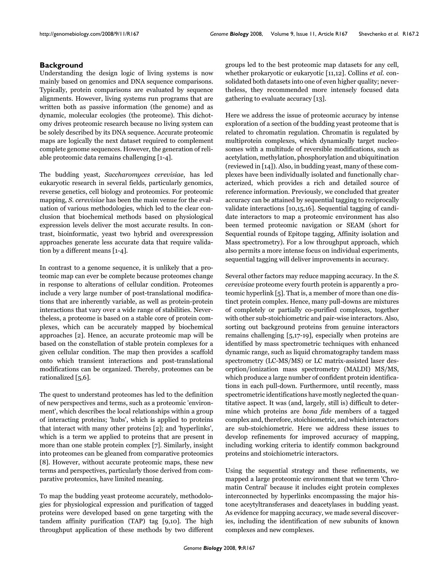# **Background**

Understanding the design logic of living systems is now mainly based on genomics and DNA sequence comparisons. Typically, protein comparisons are evaluated by sequence alignments. However, living systems run programs that are written both as passive information (the genome) and as dynamic, molecular ecologies (the proteome). This dichotomy drives proteomic research because no living system can be solely described by its DNA sequence. Accurate proteomic maps are logically the next dataset required to complement complete genome sequences. However, the generation of reliable proteomic data remains challenging [1-4].

The budding yeast, *Saccharomyces cerevisiae*, has led eukaryotic research in several fields, particularly genomics, reverse genetics, cell biology and proteomics. For proteomic mapping, *S. cerevisiae* has been the main venue for the evaluation of various methodologies, which led to the clear conclusion that biochemical methods based on physiological expression levels deliver the most accurate results. In contrast, bioinformatic, yeast two hybrid and overexpression approaches generate less accurate data that require validation by a different means [1-4].

In contrast to a genome sequence, it is unlikely that a proteomic map can ever be complete because proteomes change in response to alterations of cellular condition. Proteomes include a very large number of post-translational modifications that are inherently variable, as well as protein-protein interactions that vary over a wide range of stabilities. Nevertheless, a proteome is based on a stable core of protein complexes, which can be accurately mapped by biochemical approaches [2]. Hence, an accurate proteomic map will be based on the constellation of stable protein complexes for a given cellular condition. The map then provides a scaffold onto which transient interactions and post-translational modifications can be organized. Thereby, proteomes can be rationalized [5,6].

The quest to understand proteomes has led to the definition of new perspectives and terms, such as a proteomic 'environment', which describes the local relationships within a group of interacting proteins; 'hubs', which is applied to proteins that interact with many other proteins [2]; and 'hyperlinks', which is a term we applied to proteins that are present in more than one stable protein complex [\[7\]](#page-19-0). Similarly, insight into proteomes can be gleaned from comparative proteomics [8]. However, without accurate proteomic maps, these new terms and perspectives, particularly those derived from comparative proteomics, have limited meaning.

To map the budding yeast proteome accurately, methodologies for physiological expression and purification of tagged proteins were developed based on gene targeting with the tandem affinity purification (TAP) tag [9,10]. The high throughput application of these methods by two different groups led to the best proteomic map datasets for any cell, whether prokaryotic or eukaryotic [11,12]. Collins *et al.* consolidated both datasets into one of even higher quality; nevertheless, they recommended more intensely focused data gathering to evaluate accuracy [[13](#page-19-1)].

Here we address the issue of proteomic accuracy by intense exploration of a section of the budding yeast proteome that is related to chromatin regulation. Chromatin is regulated by multiprotein complexes, which dynamically target nucleosomes with a multitude of reversible modifications, such as acetylation, methylation, phosphorylation and ubiquitination (reviewed in [14]). Also, in budding yeast, many of these complexes have been individually isolated and functionally characterized, which provides a rich and detailed source of reference information. Previously, we concluded that greater accuracy can be attained by sequential tagging to reciprocally validate interactions [10,15,16]. Sequential tagging of candidate interactors to map a proteomic environment has also been termed proteomic navigation or SEAM (short for Sequential rounds of Epitope tagging, Affinity isolation and Mass spectrometry). For a low throughput approach, which also permits a more intense focus on individual experiments, sequential tagging will deliver improvements in accuracy.

Several other factors may reduce mapping accuracy. In the *S. cerevisiae* proteome every fourth protein is apparently a proteomic hyperlink [5]. That is, a member of more than one distinct protein complex. Hence, many pull-downs are mixtures of completely or partially co-purified complexes, together with other sub-stoichiometric and pair-wise interactors. Also, sorting out background proteins from genuine interactors remains challenging [5,17-19], especially when proteins are identified by mass spectrometric techniques with enhanced dynamic range, such as liquid chromatography tandem mass spectrometry (LC-MS/MS) or LC matrix-assisted laser desorption/ionization mass spectrometry (MALDI) MS/MS, which produce a large number of confident protein identifications in each pull-down. Furthermore, until recently, mass spectrometric identifications have mostly neglected the quantitative aspect. It was (and, largely, still is) difficult to determine which proteins are *bona fide* members of a tagged complex and, therefore, stoichiometric, and which interactors are sub-stoichiometric. Here we address these issues to develop refinements for improved accuracy of mapping, including working criteria to identify common background proteins and stoichiometric interactors.

Using the sequential strategy and these refinements, we mapped a large proteomic environment that we term 'Chromatin Central' because it includes eight protein complexes interconnected by hyperlinks encompassing the major histone aceytyltransferases and deacetylases in budding yeast. As evidence for mapping accuracy, we made several discoveries, including the identification of new subunits of known complexes and new complexes.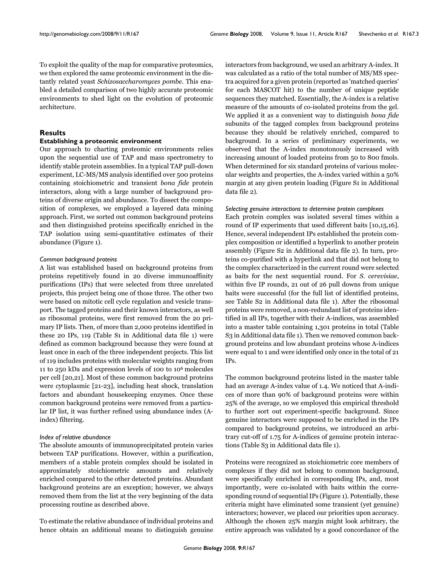To exploit the quality of the map for comparative proteomics, we then explored the same proteomic environment in the distantly related yeast *Schizosaccharomyces pombe*. This enabled a detailed comparison of two highly accurate proteomic environments to shed light on the evolution of proteomic architecture.

# **Results**

# **Establishing a proteomic environment**

Our approach to charting proteomic environments relies upon the sequential use of TAP and mass spectrometry to identify stable protein assemblies. In a typical TAP pull-down experiment, LC-MS/MS analysis identified over 500 proteins containing stoichiometric and transient *bona fide* protein interactors, along with a large number of background proteins of diverse origin and abundance. To dissect the composition of complexes, we employed a layered data mining approach. First, we sorted out common background proteins and then distinguished proteins specifically enriched in the TAP isolation using semi-quantitative estimates of their abundance (Figure 1).

#### *Common background proteins*

A list was established based on background proteins from proteins repetitively found in 20 diverse immunoaffinity purifications (IPs) that were selected from three unrelated projects, this project being one of those three. The other two were based on mitotic cell cycle regulation and vesicle transport. The tagged proteins and their known interactors, as well as ribosomal proteins, were first removed from the 20 primary IP lists. Then, of more than 2,000 proteins identified in these 20 IPs, 119 (Table S1 in Additional data file 1) were defined as common background because they were found at least once in each of the three independent projects. This list of 119 includes proteins with molecular weights ranging from 11 to 250 kDa and expression levels of 100 to 106 molecules per cell [20,21]. Most of these common background proteins were cytoplasmic [21-23], including heat shock, translation factors and abundant housekeeping enzymes. Once these common background proteins were removed from a particular IP list, it was further refined using abundance index (Aindex) filtering.

# *Index of relative abundance*

The absolute amounts of immunoprecipitated protein varies between TAP purifications. However, within a purification, members of a stable protein complex should be isolated in approximately stoichiometric amounts and relatively enriched compared to the other detected proteins. Abundant background proteins are an exception; however, we always removed them from the list at the very beginning of the data processing routine as described above.

To estimate the relative abundance of individual proteins and hence obtain an additional means to distinguish genuine

interactors from background, we used an arbitrary A-index. It was calculated as a ratio of the total number of MS/MS spectra acquired for a given protein (reported as 'matched queries' for each MASCOT hit) to the number of unique peptide sequences they matched. Essentially, the A-index is a relative measure of the amounts of co-isolated proteins from the gel. We applied it as a convenient way to distinguish *bona fide* subunits of the tagged complex from background proteins because they should be relatively enriched, compared to background. In a series of preliminary experiments, we observed that the A-index monotonously increased with increasing amount of loaded proteins from 50 to 800 fmols. When determined for six standard proteins of various molecular weights and properties, the A-index varied within a 50% margin at any given protein loading (Figure S1 in Additional data file 2).

#### *Selecting genuine interactions to determine protein complexes*

Each protein complex was isolated several times within a round of IP experiments that used different baits [10,15,16]. Hence, several independent IPs established the protein complex composition or identified a hyperlink to another protein assembly (Figure S2 in Additional data file 2). In turn, proteins co-purified with a hyperlink and that did not belong to the complex characterized in the current round were selected as baits for the next sequential round. For *S. cerevisiae*, within five IP rounds, 21 out of 26 pull downs from unique baits were successful (for the full list of identified proteins, see Table S2 in Additional data file 1). After the ribosomal proteins were removed, a non-redundant list of proteins identified in all IPs, together with their A-indices, was assembled into a master table containing 1,301 proteins in total (Table S3 in Additional data file 1). Then we removed common background proteins and low abundant proteins whose A-indices were equal to 1 and were identified only once in the total of 21 IPs.

The common background proteins listed in the master table had an average A-index value of 1.4. We noticed that A-indices of more than 90% of background proteins were within 25% of the average, so we employed this empirical threshold to further sort out experiment-specific background. Since genuine interactors were supposed to be enriched in the IPs compared to background proteins, we introduced an arbitrary cut-off of 1.75 for A-indices of genuine protein interactions (Table S3 in Additional data file 1).

Proteins were recognized as stoichiometric core members of complexes if they did not belong to common background, were specifically enriched in corresponding IPs, and, most importantly, were co-isolated with baits within the corresponding round of sequential IPs (Figure 1). Potentially, these criteria might have eliminated some transient (yet genuine) interactors; however, we placed our priorities upon accuracy. Although the chosen 25% margin might look arbitrary, the entire approach was validated by a good concordance of the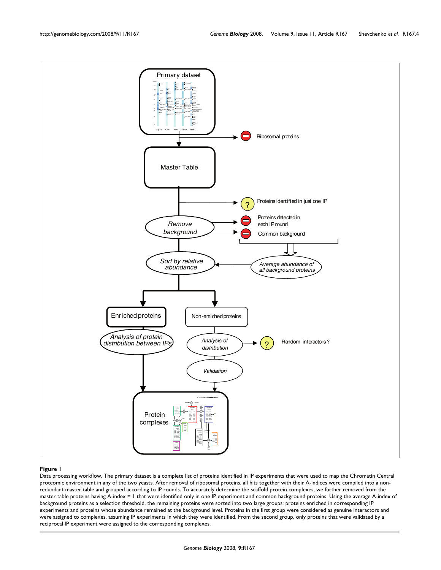

#### **Figure 1**

Data processing workflow. The primary dataset is a complete list of proteins identified in IP experiments that were used to map the Chromatin Central proteomic environment in any of the two yeasts. After removal of ribosomal proteins, all hits together with their A-indices were compiled into a nonredundant master table and grouped according to IP rounds. To accurately determine the scaffold protein complexes, we further removed from the master table proteins having A-index = 1 that were identified only in one IP experiment and common background proteins. Using the average A-index of background proteins as a selection threshold, the remaining proteins were sorted into two large groups: proteins enriched in corresponding IP experiments and proteins whose abundance remained at the background level. Proteins in the first group were considered as genuine interactors and were assigned to complexes, assuming IP experiments in which they were identified. From the second group, only proteins that were validated by a reciprocal IP experiment were assigned to the corresponding complexes.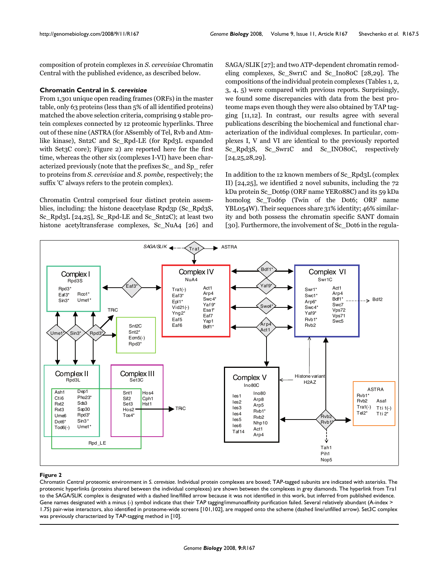composition of protein complexes in *S. cerevisiae* Chromatin Central with the published evidence, as described below.

# **Chromatin Central in** *S. cerevisiae*

From 1,301 unique open reading frames (ORFs) in the master table, only 63 proteins (less than 5% of all identified proteins) matched the above selection criteria, comprising 9 stable protein complexes connected by 12 proteomic hyperlinks. Three out of these nine (ASTRA (for ASsembly of Tel, Rvb and Atmlike kinase), Snt2C and Sc\_Rpd-LE (for Rpd3L expanded with Set3C core); Figure 2) are reported here for the first time, whereas the other six (complexes I-VI) have been characterized previously (note that the prefixes Sc\_ and Sp\_ refer to proteins from *S. cerevisiae* and *S. pombe*, respectively; the suffix 'C' always refers to the protein complex).

Chromatin Central comprised four distinct protein assemblies, including: the histone deacetylase Rpd3p (Sc\_Rpd3S, Sc\_Rpd3L [24,25], Sc\_Rpd-LE and Sc\_Snt2C); at least two histone acetyltransferase complexes, Sc\_NuA4 [26] and SAGA/SLIK [27]; and two ATP-dependent chromatin remodeling complexes, Sc\_Swr1C and Sc\_Ino80C [28,29]. The compositions of the individual protein complexes (Tables [1](#page-5-0), [2,](#page-6-0) [3](#page-8-0), [4,](#page-9-0) [5](#page-9-1)) were compared with previous reports. Surprisingly, we found some discrepancies with data from the best proteome maps even though they were also obtained by TAP tagging [11,12]. In contrast, our results agree with several publications describing the biochemical and functional characterization of the individual complexes. In particular, complexes I, V and VI are identical to the previously reported Sc\_Rpd<sub>3</sub>S, Sc\_Swr1C and Sc\_INO80C, respectively [24,25,28,29].

In addition to the 12 known members of Sc\_Rpd3L (complex II) [24,25], we identified 2 novel subunits, including the 72 kDa protein Sc\_Dot6p (ORF name YER088C) and its 59 kDa homolog Sc\_Tod6p (Twin of the Dot6; ORF name YBL054W). Their sequences share 31% identity; 46% similarity and both possess the chromatin specific SANT domain [30]. Furthermore, the involvement of Sc Dot6 in the regula-



#### Figure 2

Chromatin Central proteomic environment in *S. cerevisiae*. Individual protein complexes are boxed; TAP-tagged subunits are indicated with asterisks. The proteomic hyperlinks (proteins shared between the individual complexes) are shown between the complexes in grey diamonds. The hyperlink from Tra1 to the SAGA/SLIK complex is designated with a dashed line/filled arrow because it was not identified in this work, but inferred from published evidence. Gene names designated with a minus (-) symbol indicate that their TAP tagging/immunoaffinity purification failed. Several relatively abundant (A-index > 1.75) pair-wise interactors, also identified in proteome-wide screens [101,102], are mapped onto the scheme (dashed line/unfilled arrow). Set3C complex was previously characterized by TAP-tagging method in [10].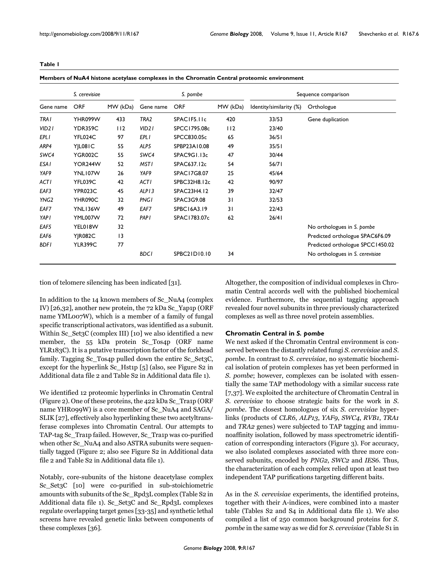<span id="page-5-0"></span>

|                    | S. cerevisiae  |          |                    | S. pombe           |          | Sequence comparison     |                                  |  |  |
|--------------------|----------------|----------|--------------------|--------------------|----------|-------------------------|----------------------------------|--|--|
| Gene name          | <b>ORF</b>     | MW (kDa) | Gene name          | <b>ORF</b>         | MW (kDa) | Identity/similarity (%) | Orthologue                       |  |  |
| <b>TRAI</b>        | YHR099W        | 433      | TRA <sub>2</sub>   | SPACIF5.IIc        | 420      | 33/53                   | Gene duplication                 |  |  |
| VID <sub>2</sub> 1 | YDR359C        | 112      | VID <sub>2</sub> 1 | SPCC1795.08c       | 112      | 23/40                   |                                  |  |  |
| <b>EPLI</b>        | YFL024C        | 97       | EPL I              | SPCC830.05c        | 65       | 36/51                   |                                  |  |  |
| ARP4               | Y L081C        | 55       | ALP5               | SPBP23A10.08       | 49       | 35/51                   |                                  |  |  |
| SWC4               | <b>YGR002C</b> | 55       | SWC4               | SPAC9G1.13c        | 47       | 30/44                   |                                  |  |  |
| ESA I              | YOR244W        | 52       | <b>MSTI</b>        | SPAC637.12c        | 54       | 56/71                   |                                  |  |  |
| YAF9               | YNL107W        | 26       | YAF9               | <b>SPAC17G8.07</b> | 25       | 45/64                   |                                  |  |  |
| ACTI               | YFL039C        | 42       | <b>ACTI</b>        | SPBC32H8.12c       | 42       | 90/97                   |                                  |  |  |
| EAF3               | YPR023C        | 45       | ALP <sub>13</sub>  | SPAC23H4.12        | 39       | 32/47                   |                                  |  |  |
| YNG <sub>2</sub>   | YHR090C        | 32       | <b>PNGI</b>        | SPAC3G9.08         | 31       | 32/53                   |                                  |  |  |
| EAF7               | YNL136W        | 49       | EAF7               | SPBC16A3.19        | 31       | 22/43                   |                                  |  |  |
| <b>YAPI</b>        | YML007W        | 72       | <b>PAPI</b>        | SPAC1783.07c       | 62       | 26/41                   |                                  |  |  |
| EAF5               | YEL018W        | 32       |                    |                    |          |                         | No orthologues in S. pombe       |  |  |
| EAF6               | <b>Y R082C</b> | 13       |                    |                    |          |                         | Predicted orthologue SPAC6F6.09  |  |  |
| <b>BDFI</b>        | <b>YLR399C</b> | 77       |                    |                    |          |                         | Predicted orthologue SPCC1450.02 |  |  |
|                    |                |          | <b>BDC1</b>        | SPBC21D10.10       | 34       |                         | No orthologues in S. cerevisiae  |  |  |

**Members of NuA4 histone acetylase complexes in the Chromatin Central proteomic environment**

tion of telomere silencing has been indicated [31].

In addition to the 14 known members of Sc\_NuA4 (complex IV) [26,32], another new protein, the 72 kDa Sc\_Yap1p (ORF name YML007W), which is a member of a family of fungal specific transcriptional activators, was identified as a subunit. Within Sc\_Set<sub>3</sub>C (complex III) [10] we also identified a new member, the 55 kDa protein Sc\_Tos4p (ORF name YLR183C). It is a putative transcription factor of the forkhead family. Tagging Sc\_Tos4p pulled down the entire Sc\_Set3C, except for the hyperlink Sc\_Hst1p [5] (also, see Figure S2 in Additional data file 2 and Table S2 in Additional data file 1).

We identified 12 proteomic hyperlinks in Chromatin Central (Figure 2). One of these proteins, the 422 kDa Sc\_Tra1p (ORF name YHR099W) is a core member of Sc\_NuA4 and SAGA/ SLIK [27], effectively also hyperlinking these two acetyltransferase complexes into Chromatin Central. Our attempts to TAP-tag Sc\_Tra1p failed. However, Sc\_Tra1p was co-purified when other Sc\_NuA4 and also ASTRA subunits were sequentially tagged (Figure 2; also see Figure S2 in Additional data file 2 and Table S2 in Additional data file 1).

Notably, core-subunits of the histone deacetylase complex Sc\_Set3C [10] were co-purified in sub-stoichiometric amounts with subunits of the Sc\_Rpd3L complex (Table S2 in Additional data file 1). Sc\_Set3C and Sc\_Rpd3L complexes regulate overlapping target genes [33-35] and synthetic lethal screens have revealed genetic links between components of these complexes [36].

Altogether, the composition of individual complexes in Chromatin Central accords well with the published biochemical evidence. Furthermore, the sequential tagging approach revealed four novel subunits in three previously characterized complexes as well as three novel protein assemblies.

# **Chromatin Central in** *S. pombe*

We next asked if the Chromatin Central environment is conserved between the distantly related fungi *S. cerevisiae* and *S. pombe*. In contrast to *S. cerevisiae*, no systematic biochemical isolation of protein complexes has yet been performed in *S. pombe*; however, complexes can be isolated with essentially the same TAP methodology with a similar success rate [\[7,](#page-19-0)37]. We exploited the architecture of Chromatin Central in *S. cerevisiae* to choose strategic baits for the work in *S. pombe*. The closest homologues of six *S. cerevisiae* hyperlinks (products of *CLR6*, *ALP13*, *YAF9*, *SWC4*, *RVB1*, *TRA1* and *TRA2* genes) were subjected to TAP tagging and immunoaffinity isolation, followed by mass spectrometric identification of corresponding interactors (Figure 3). For accuracy, we also isolated complexes associated with three more conserved subunits, encoded by *PNG2*, *SWC2* and *IES6*. Thus, the characterization of each complex relied upon at least two independent TAP purifications targeting different baits.

As in the *S. cerevisiae* experiments, the identified proteins, together with their A-indices, were combined into a master table (Tables S2 and S4 in Additional data file 1). We also compiled a list of 250 common background proteins for *S. pombe* in the same way as we did for *S. cerevisiae* (Table S1 in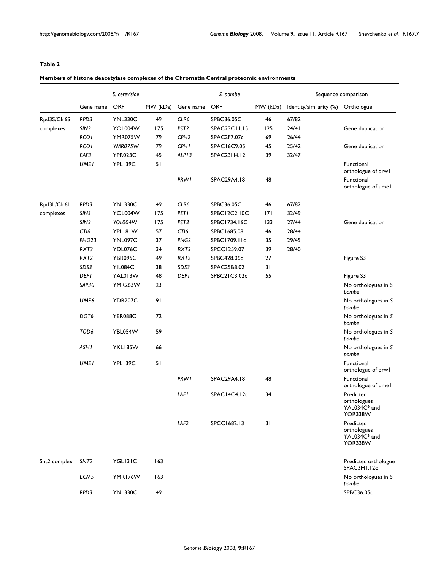# <span id="page-6-0"></span>**Table 2**

# **Members of histone deacetylase complexes of the Chromatin Central proteomic environments**

|              | S. cerevisiae     |                |          |                   | S. pombe           |          | Sequence comparison     |                                                     |  |
|--------------|-------------------|----------------|----------|-------------------|--------------------|----------|-------------------------|-----------------------------------------------------|--|
|              | Gene name         | <b>ORF</b>     | MW (kDa) | Gene name         | ORF                | MW (kDa) | Identity/similarity (%) | Orthologue                                          |  |
| Rpd3S/Clr6S  | RPD3              | <b>YNL330C</b> | 49       | CLR6              | SPBC36.05C         | 46       | 67/82                   |                                                     |  |
| complexes    | SIN3              | YOL004W        | 175      | PST <sub>2</sub>  | SPAC23C11.15       | 125      | 24/41                   | Gene duplication                                    |  |
|              | <b>RCOI</b>       | YMR075W        | 79       | CPH <sub>2</sub>  | SPAC2F7.07c        | 69       | 26/44                   |                                                     |  |
|              | <b>RCO1</b>       | YMR075W        | 79       | <b>CPH1</b>       | SPAC16C9.05        | 45       | 25/42                   | Gene duplication                                    |  |
|              | EAF3              | YPR023C        | 45       | ALP <sub>13</sub> | SPAC23H4.12        | 39       | 32/47                   |                                                     |  |
|              | <b>UMEI</b>       | YPL139C        | 51       |                   |                    |          |                         | Functional<br>orthologue of prwl                    |  |
|              |                   |                |          | <b>PRW1</b>       | SPAC29A4.18        | 48       |                         | Functional<br>orthologue of umel                    |  |
| Rpd3L/Clr6L  | RPD3              | <b>YNL330C</b> | 49       | CLR6              | SPBC36.05C         | 46       | 67/82                   |                                                     |  |
| complexes    | SIN3              | YOL004W        | 175      | <b>PST1</b>       | SPBC12C2.10C       | 7        | 32/49                   |                                                     |  |
|              | SIN3              | YOL004W        | 175      | PST3              | SPBC1734.16C       | 133      | 27/44                   | Gene duplication                                    |  |
|              | CTI6              | YPLI8IW        | 57       | CTI6              | SPBC1685.08        | 46       | 28/44                   |                                                     |  |
|              | PHO <sub>23</sub> | YNL097C        | 37       | PNG <sub>2</sub>  | SPBC1709.11c       | 35       | 29/45                   |                                                     |  |
|              | RXT3              | YDL076C        | 34       | RXT3              | SPCC1259.07        | 39       | 28/40                   |                                                     |  |
|              | RXT <sub>2</sub>  | YBR095C        | 49       | RXT <sub>2</sub>  | SPBC428.06c        | 27       |                         | Figure S3                                           |  |
|              | SDS3              | YIL084C        | 38       | SDS3              | SPAC25B8.02        | 31       |                         |                                                     |  |
|              | <b>DEPI</b>       | YAL013W        | 48       | DEP I             | SPBC21C3.02c       | 55       |                         | Figure S3                                           |  |
|              | SAP30             | YMR263W        | 23       |                   |                    |          |                         | No orthologues in S.<br>pombe                       |  |
|              | UME6              | <b>YDR207C</b> | 91       |                   |                    |          |                         | No orthologues in S.<br>pombe                       |  |
|              | DOT <sub>6</sub>  | YER088C        | 72       |                   |                    |          |                         | No orthologues in S.<br>pombe                       |  |
|              | TOD6              | YBL054W        | 59       |                   |                    |          |                         | No orthologues in S.<br>pombe                       |  |
|              | <b>ASHI</b>       | YKL185W        | 66       |                   |                    |          |                         | No orthologues in S.<br>pombe                       |  |
|              | <b>UMEI</b>       | YPL139C        | 51       |                   |                    |          |                         | Functional<br>orthologue of prwl                    |  |
|              |                   |                |          | <b>PRW1</b>       | <b>SPAC29A4.18</b> | 48       |                         | Functional<br>orthologue of umel                    |  |
|              |                   |                |          | LAFI              | SPAC14C4.12c       | 34       |                         | Predicted<br>orthologues<br>YAL034C* and<br>YOR338W |  |
|              |                   |                |          | LAF2              | SPCC1682.13        | 31       |                         | Predicted<br>orthologues<br>YAL034C* and<br>YOR338W |  |
| Snt2 complex | SNT <sub>2</sub>  | YGLI3IC        | 163      |                   |                    |          |                         | Predicted orthologue<br>SPAC3H1.12c                 |  |
|              | ECM5              | YMR176W        | 163      |                   |                    |          |                         | No orthologues in S.<br>pombe                       |  |
|              | RPD3              | <b>YNL330C</b> | 49       |                   |                    |          |                         | SPBC36.05c                                          |  |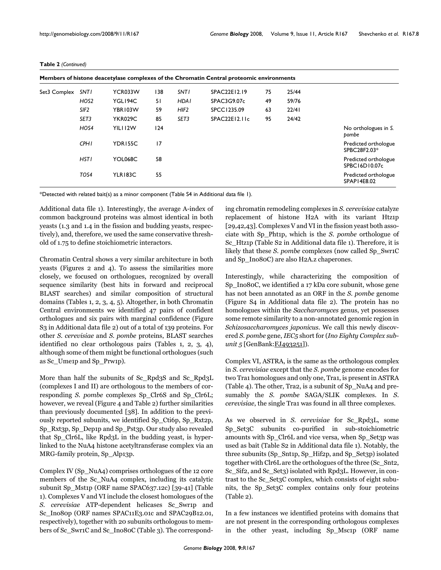| Members of histone deacetylase complexes of the Chromatin Central proteomic environments |                  |                |     |                  |               |    |       |                                       |  |  |
|------------------------------------------------------------------------------------------|------------------|----------------|-----|------------------|---------------|----|-------|---------------------------------------|--|--|
| Set3 Complex                                                                             | <b>SNTI</b>      | YCR033W        | 138 | <b>SNTI</b>      | SPAC22E12.19  | 75 | 25/44 |                                       |  |  |
|                                                                                          | HOS <sub>2</sub> | YGL194C        | 51  | <b>HDAI</b>      | SPAC3G9.07c   | 49 | 59/76 |                                       |  |  |
|                                                                                          | SIF <sub>2</sub> | YBR103W        | 59  | HIF <sub>2</sub> | SPCC1235.09   | 63 | 22/41 |                                       |  |  |
|                                                                                          | SET <sub>3</sub> | <b>YKR029C</b> | 85  | SET <sub>3</sub> | SPAC22E12.11c | 95 | 24/42 |                                       |  |  |
|                                                                                          | HOS4             | YILI 12W       | 124 |                  |               |    |       | No orthologues in S.<br>pombe         |  |  |
|                                                                                          | <b>CPHI</b>      | YDR155C        | 17  |                  |               |    |       | Predicted orthologue<br>SPBC28F2.03*  |  |  |
|                                                                                          | <b>HSTI</b>      | YOL068C        | 58  |                  |               |    |       | Predicted orthologue<br>SPBC16D10.07c |  |  |
|                                                                                          | TOS4             | YLR183C        | 55  |                  |               |    |       | Predicted orthologue<br>SPAP14E8.02   |  |  |

#### **Table 2** *(Continued)*

\*Detected with related bait(s) as a minor component (Table S4 in Additional data file 1).

Additional data file 1). Interestingly, the average A-index of common background proteins was almost identical in both yeasts (1.3 and 1.4 in the fission and budding yeasts, respectively), and, therefore, we used the same conservative threshold of 1.75 to define stoichiometric interactors.

Chromatin Central shows a very similar architecture in both yeasts (Figures 2 and 4). To assess the similarities more closely, we focused on orthologues, recognized by overall sequence similarity (best hits in forward and reciprocal BLAST searches) and similar composition of structural domains (Tables [1](#page-5-0), [2](#page-6-0), [3](#page-8-0), [4](#page-9-0), [5](#page-9-1)). Altogether, in both Chromatin Central environments we identified 47 pairs of confident orthologues and six pairs with marginal confidence (Figure S3 in Additional data file 2) out of a total of 139 proteins. For other *S. cerevisiae* and *S. pombe* proteins, BLAST searches identified no clear orthologous pairs (Tables [1](#page-5-0), [2](#page-6-0), [3,](#page-8-0) [4](#page-9-0)), although some of them might be functional orthologues (such as Sc\_Ume1p and Sp\_Prw1p).

More than half the subunits of Sc\_Rpd3S and Sc\_Rpd3L (complexes I and II) are orthologous to the members of corresponding *S. pombe* complexes Sp\_Clr6S and Sp\_Clr6L; however, we reveal (Figure 4 and Table [2](#page-6-0)) further similarities than previously documented [38]. In addition to the previously reported subunits, we identified Sp\_Cti6p, Sp\_Rxt2p, Sp\_Rxt3p, Sp\_Dep1p and Sp\_Pst3p. Our study also revealed that Sp\_Clr6L, like Rpd3L in the budding yeast, is hyperlinked to the NuA4 histone acetyltransferase complex via an MRG-family protein, Sp\_Alp13p.

Complex IV (Sp\_NuA4) comprises orthologues of the 12 core members of the Sc\_NuA4 complex, including its catalytic subunit Sp\_Mst1p (ORF name SPAC637.12c) [39-41] (Table [1](#page-5-0)). Complexes V and VI include the closest homologues of the *S. cerevisiae* ATP-dependent helicases Sc\_Swr1p and Sc\_Ino80p (ORF names SPAC11E3.01c and SPAC29B12.01, respectively), together with 20 subunits orthologous to members of Sc\_Swr1C and Sc\_Ino80C (Table [3\)](#page-8-0). The corresponding chromatin remodeling complexes in *S. cerevisiae* catalyze replacement of histone H2A with its variant Htz1p [29,42,43]. Complexes V and VI in the fission yeast both associate with Sp\_Pht1p, which is the *S. pombe* orthologue of Sc\_Htz1p (Table S2 in Additional data file 1). Therefore, it is likely that these *S. pombe* complexes (now called Sp\_Swr1C and Sp\_Ino80C) are also H2A.z chaperones.

Interestingly, while characterizing the composition of Sp\_Ino80C, we identified a 17 kDa core subunit, whose gene has not been annotated as an ORF in the *S. pombe* genome (Figure S4 in Additional data file 2). The protein has no homologues within the *Saccharomyces* genus, yet possesses some remote similarity to a non-annotated genomic region in *Schizosaccharomyces japonicus*. We call this newly discovered *S. pombe* gene, *IEC5* short for (*Ino Eighty Complex subunit 5* [GenBank[:FJ493251](http://www.ncbi.nih.gov/entrez/query.fcgi?db=Nucleotide&cmd=search&term=FJ493251)]).

Complex VI, ASTRA, is the same as the orthologous complex in *S. cerevisiae* except that the *S. pombe* genome encodes for two Tra1 homologues and only one, Tra1, is present in ASTRA (Table [4\)](#page-9-0). The other, Tra2, is a subunit of Sp\_NuA4 and presumably the *S. pombe* SAGA/SLIK complexes. In *S. cerevisiae*, the single Tra1 was found in all three complexes.

As we observed in *S. cerevisiae* for Sc\_Rpd3L, some Sp\_Set3C subunits co-purified in sub-stoichiometric amounts with Sp\_Clr6L and vice versa, when Sp\_Set3p was used as bait (Table S2 in Additional data file 1). Notably, the three subunits (Sp\_Snt1p, Sp\_Hif2p, and Sp\_Set3p) isolated together with Clr6L are the orthologues of the three (Sc\_Snt2, Sc\_Sif2, and Sc\_Set3) isolated with Rpd3L. However, in contrast to the Sc\_Set3C complex, which consists of eight subunits, the Sp\_Set3C complex contains only four proteins (Table [2\)](#page-6-0).

In a few instances we identified proteins with domains that are not present in the corresponding orthologous complexes in the other yeast, including Sp\_Msc1p (ORF name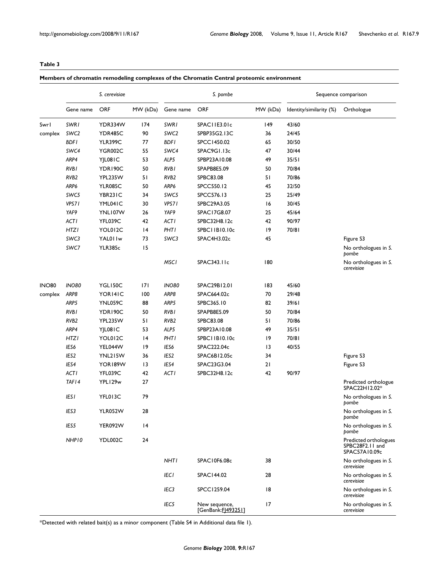<span id="page-8-0"></span>**Table 3**

|              |                  | S. cerevisiae  |          |                  | S. pombe                            |          |                         | Sequence comparison                                       |
|--------------|------------------|----------------|----------|------------------|-------------------------------------|----------|-------------------------|-----------------------------------------------------------|
|              | Gene name        | <b>ORF</b>     | MW (kDa) | Gene name        | <b>ORF</b>                          | MW (kDa) | Identity/similarity (%) | Orthologue                                                |
| Swrl         | SWR1             | YDR334W        | 174      | <b>SWRI</b>      | SPACI IE3.01c                       | 149      | 43/60                   |                                                           |
| complex      | SWC2             | YDR485C        | 90       | SWC <sub>2</sub> | SPBP35G2.13C                        | 36       | 24/45                   |                                                           |
|              | <b>BDFI</b>      | <b>YLR399C</b> | 77       | <b>BDFI</b>      | SPCC1450.02                         | 65       | 30/50                   |                                                           |
|              | SWC4             | <b>YGR002C</b> | 55       | SWC4             | SPAC9G1.13c                         | 47       | 30/44                   |                                                           |
|              | ARP4             | YJL08IC        | 53       | ALP5             | SPBP23A10.08                        | 49       | 35/51                   |                                                           |
|              | RVB1             | YDR190C        | 50       | <b>RVBI</b>      | SPAPB8E5.09                         | 50       | 70/84                   |                                                           |
|              | RVB <sub>2</sub> | YPL235W        | 51       | RVB <sub>2</sub> | SPBC83.08                           | 51       | 70/86                   |                                                           |
|              | ARP6             | <b>YLR085C</b> | 50       | ARP6             | SPCC550.12                          | 45       | 32/50                   |                                                           |
|              | SWC5             | YBR231C        | 34       | SWC5             | SPCC576.13                          | 25       | 25/49                   |                                                           |
|              | VPS71            | YML041C        | 30       | VPS71            | SPBC29A3.05                         | 16       | 30/45                   |                                                           |
|              | YAF9             | YNL107W        | 26       | YAF9             | SPAC17G8.07                         | 25       | 45/64                   |                                                           |
|              | <b>ACTI</b>      | YFL039C        | 42       | ACTI             | SPBC32H8.12c                        | 42       | 90/97                   |                                                           |
|              | <b>HTZI</b>      | YOL012C        | 4        | PHTI             | SPBC11B10.10c                       | 19       | 70/81                   |                                                           |
|              | SWC3             | YAL01 Iw       | 73       | SWC3             | SPAC4H3.02c                         | 45       |                         | Figure S3                                                 |
|              | SWC7             | <b>YLR385c</b> | 15       |                  |                                     |          |                         | No orthologues in S.<br>pombe                             |
|              |                  |                |          | <b>MSCI</b>      | SPAC343.11c                         | 180      |                         | No orthologues in S.<br>cerevisiae                        |
| <b>INO80</b> | <b>INO80</b>     | YGL150C        | 171      | <b>INO80</b>     | SPAC29B12.01                        | 183      | 45/60                   |                                                           |
| complex      | ARP8             | YOR141C        | 100      | ARP8             | SPAC664.02c                         | 70       | 29/48                   |                                                           |
|              | ARP5             | YNL059C        | 88       | ARP5             | SPBC365.10                          | 82       | 39/61                   |                                                           |
|              | RVB I            | YDR190C        | 50       | <b>RVBI</b>      | SPAPB8E5.09                         | 50       | 70/84                   |                                                           |
|              | RVB <sub>2</sub> | YPL235W        | 51       | RVB2             | SPBC83.08                           | 51       | 70/86                   |                                                           |
|              | ARP4             | YJL08IC        | 53       | ALP5             | SPBP23A10.08                        | 49       | 35/51                   |                                                           |
|              | <b>HTZI</b>      | YOL012C        | 4        | <b>PHTI</b>      | SPBC11B10.10c                       | 19       | 70/81                   |                                                           |
|              | IES6             | YEL044W        | 9        | IES6             | SPAC222.04c                         | 13       | 40/55                   |                                                           |
|              | IES2             | YNL215W        | 36       | IES2             | SPAC6B12.05c                        | 34       |                         | Figure S3                                                 |
|              | IES4             | YOR189W        | 3        | IES4             | SPAC23G3.04                         | 21       |                         | Figure S3                                                 |
|              | <b>ACTI</b>      | YFL039C        | 42       | ACTI             | SPBC32H8.12c                        | 42       | 90/97                   |                                                           |
|              | TAF14            | YPL129w        | 27       |                  |                                     |          |                         | Predicted orthologue<br>SPAC22H12.02*                     |
|              | <b>IESI</b>      | YFL013C        | 79       |                  |                                     |          |                         | No orthologues in S.<br>pombe                             |
|              | IES3             | YLR052W        | 28       |                  |                                     |          |                         | No orthologues in S.<br>pombe                             |
|              | IES5             | YER092W        | 14       |                  |                                     |          |                         | No orthologues in S.<br>pombe                             |
|              | NHP10            | YDL002C        | 24       |                  |                                     |          |                         | Predicted orthologues<br>SPBC28F2.11 and<br>SPAC57A10.09c |
|              |                  |                |          | <b>NHTI</b>      | SPAC10F6.08c                        | 38       |                         | No orthologues in S.<br>cerevisiae                        |
|              |                  |                |          | <b>IECI</b>      | SPAC144.02                          | 28       |                         | No orthologues in S.<br>cerevisiae                        |
|              |                  |                |          | IEC3             | SPCC1259.04                         | 18       |                         | No orthologues in S.<br>cerevisiae                        |
|              |                  |                |          | IEC5             | New sequence,<br>[GenBank: [493251] | 17       |                         | No orthologues in S.<br>cerevisiae                        |

\*Detected with related bait(s) as a minor component (Table S4 in Additional data file 1).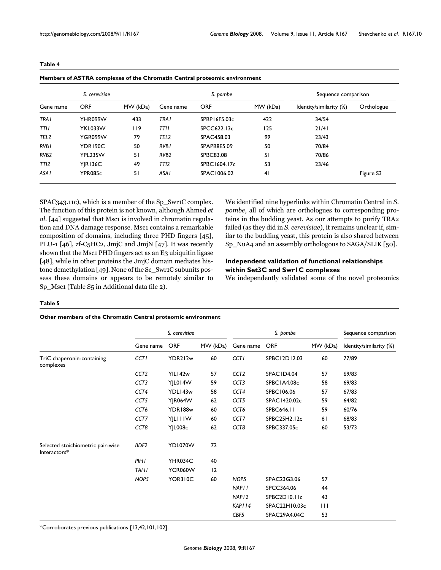| S. cerevisiae    |                |          |                  | S. bombe     | Sequence comparison |                         |            |
|------------------|----------------|----------|------------------|--------------|---------------------|-------------------------|------------|
| Gene name        | <b>ORF</b>     | MW (kDa) | Gene name        | <b>ORF</b>   | MW (kDa)            | Identity/similarity (%) | Orthologue |
| <b>TRAI</b>      | YHR099W        | 433      | <b>TRAI</b>      | SPBP16F5.03c | 422                 | 34/54                   |            |
| TTII             | YKL033W        | l 19     | TTII             | SPCC622.13c  | 125                 | 21/41                   |            |
| TEL <sub>2</sub> | YGR099W        | 79       | TEL <sub>2</sub> | SPAC458.03   | 99                  | 23/43                   |            |
| RVB <sub>I</sub> | YDR190C        | 50       | RVB <sub>I</sub> | SPAPB8E5.09  | 50                  | 70/84                   |            |
| RVB <sub>2</sub> | YPL235W        | 51       | RV <sub>B2</sub> | SPBC83.08    | 51                  | 70/86                   |            |
| TTI <sub>2</sub> | <b>YIR136C</b> | 49       | TTI <sub>2</sub> | SPBC1604.17c | 53                  | 23/46                   |            |
| ASA I            | YPR085c        | 51       | ASA I            | SPAC1006.02  | 41                  |                         | Figure S3  |

#### <span id="page-9-0"></span>**Table 4**

SPAC343.11c), which is a member of the Sp\_Swr1C complex. The function of this protein is not known, although Ahmed *et* al. [44] suggested that Msc1 is involved in chromatin regulation and DNA damage response. Msc1 contains a remarkable composition of domains, including three PHD fingers [45], PLU-1 [46], zf-C5HC2, JmjC and JmjN [47]. It was recently shown that the Msc1 PHD fingers act as an E3 ubiquitin ligase [48], while in other proteins the JmjC domain mediates histone demethylation [49]. None of the Sc\_Swr1C subunits possess these domains or appears to be remotely similar to Sp\_Msc1 (Table S5 in Additional data file 2).

We identified nine hyperlinks within Chromatin Central in *S. pombe*, all of which are orthologues to corresponding proteins in the budding yeast. As our attempts to purify TRA2 failed (as they did in *S. cerevisiae*), it remains unclear if, similar to the budding yeast, this protein is also shared between Sp\_NuA4 and an assembly orthologous to SAGA/SLIK [50].

# **Independent validation of functional relationships within Set3C and Swr1C complexes**

We independently validated some of the novel proteomics

#### <span id="page-9-1"></span>**Table 5**

#### **Other members of the Chromatin Central proteomic environment**

|                                                   | S. cerevisiae    |                |          | S. pombe          |               |              | Sequence comparison     |
|---------------------------------------------------|------------------|----------------|----------|-------------------|---------------|--------------|-------------------------|
|                                                   | Gene name        | <b>ORF</b>     | MW (kDa) | Gene name         | <b>ORF</b>    | MW (kDa)     | Identity/similarity (%) |
| TriC chaperonin-containing<br>complexes           | <b>CCTI</b>      | YDR212w        | 60       | <b>CCTI</b>       | SPBC12D12.03  | 60           | 77/89                   |
|                                                   | CCT <sub>2</sub> | YIL142w        | 57       | CCT <sub>2</sub>  | SPACID4.04    | 57           | 69/83                   |
|                                                   | CCT <sub>3</sub> | YJL014W        | 59       | CCT <sub>3</sub>  | SPBC1A4.08c   | 58           | 69/83                   |
|                                                   | CCT4             | YDL143w        | 58       | CCT4              | SPBC106.06    | 57           | 67/83                   |
|                                                   | CCT5             | <b>YJR064W</b> | 62       | CCT5              | SPAC1420.02c  | 59           | 64/82                   |
|                                                   | CCT6             | YDR188w        | 60       | CCT6              | SPBC646.11    | 59           | 60/76                   |
|                                                   | CCT7             | YILIIIW        | 60       | CCT7              | SPBC25H2.12c  | 61           | 68/83                   |
|                                                   | CCT8             | YJL008c        | 62       | CCT8              | SPBC337.05c   | 60           | 53/73                   |
| Selected stoichiometric pair-wise<br>Interactors* | BDF <sub>2</sub> | YDL070W        | 72       |                   |               |              |                         |
|                                                   | PIHI             | YHR034C        | 40       |                   |               |              |                         |
|                                                   | <b>TAHI</b>      | YCR060W        | 12       |                   |               |              |                         |
|                                                   | NOP5             | YOR310C        | 60       | NOP5              | SPAC23G3.06   | 57           |                         |
|                                                   |                  |                |          | <b>NAPII</b>      | SPCC364.06    | 44           |                         |
|                                                   |                  |                |          | NAP <sub>12</sub> | SPBC2D10.11c  | 43           |                         |
|                                                   |                  |                |          | KAPI 14           | SPAC22H10.03c | $\mathbf{H}$ |                         |
|                                                   |                  |                |          | CBF5              | SPAC29A4.04C  | 53           |                         |

\*Corroborates previous publications [\[13](#page-19-1),42,101,102].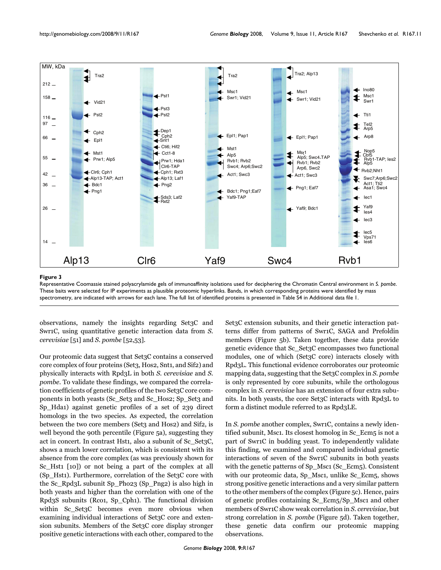

#### Representative Coomassie stained **Figure 3** polyacrylamide gels of immunoaffinity isolations used for deciphering the Chromatin Central environment in *S. pombe*

Representative Coomassie stained polyacrylamide gels of immunoaffinity isolations used for deciphering the Chromatin Central environment in *S. pombe*. These baits were selected for IP experiments as plausible proteomic hyperlinks. Bands, in which corresponding proteins were identified by mass spectrometry, are indicated with arrows for each lane. The full list of identified proteins is presented in Table S4 in Additional data file 1.

observations, namely the insights regarding Set3C and Swr1C, using quantitative genetic interaction data from *S. cerevisiae* [51] and *S. pombe* [52,53].

Our proteomic data suggest that Set3C contains a conserved core complex of four proteins (Set3, Hos2, Snt1, and Sif2) and physically interacts with Rpd3L in both *S. cerevisiae* and *S. pombe*. To validate these findings, we compared the correlation coefficients of genetic profiles of the two Set3C core components in both yeasts (Sc\_Set3 and Sc\_Hos2; Sp\_Set3 and Sp\_Hda1) against genetic profiles of a set of 239 direct homologs in the two species. As expected, the correlation between the two core members (Set3 and Hos2) and Sif2, is well beyond the 90th percentile (Figure 5a), suggesting they act in concert. In contrast Hst1, also a subunit of Sc\_Set3C, shows a much lower correlation, which is consistent with its absence from the core complex (as was previously shown for Sc\_Hst1 [10]) or not being a part of the complex at all (Sp\_Hst1). Furthermore, correlation of the Set3C core with the Sc\_Rpd3L subunit Sp\_Pho23 (Sp\_Png2) is also high in both yeasts and higher than the correlation with one of the Rpd3S subunits (Rco1, Sp\_Cph1). The functional division within Sc Set3C becomes even more obvious when examining individual interactions of Set3C core and extension subunits. Members of the Set3C core display stronger positive genetic interactions with each other, compared to the

Set3C extension subunits, and their genetic interaction patterns differ from patterns of Swr1C, SAGA and Prefoldin members (Figure 5b). Taken together, these data provide genetic evidence that Sc\_Set3C encompasses two functional modules, one of which (Set3C core) interacts closely with Rpd3L. This functional evidence corroborates our proteomic mapping data, suggesting that the Set3C complex in *S. pombe* is only represented by core subunits, while the orthologous complex in *S. cerevisiae* has an extension of four extra subunits. In both yeasts, the core Set3C interacts with Rpd3L to form a distinct module referred to as Rpd3LE.

In *S. pombe* another complex, Swr1C, contains a newly identified subunit, Msc1. Its closest homolog in Sc\_Ecm5 is not a part of Swr1C in budding yeast. To independently validate this finding, we examined and compared individual genetic interactions of seven of the Swr1C subunits in both yeasts with the genetic patterns of Sp\_Msc1 (Sc\_Ecm5). Consistent with our proteomic data, Sp\_Msc1, unlike Sc\_Ecm5, shows strong positive genetic interactions and a very similar pattern to the other members of the complex (Figure 5c). Hence, pairs of genetic profiles containing Sc\_Ecm5/Sp\_Msc1 and other members of Swr1C show weak correlation in *S. cerevisiae*, but strong correlation in *S. pombe* (Figure 5d). Taken together, these genetic data confirm our proteomic mapping observations.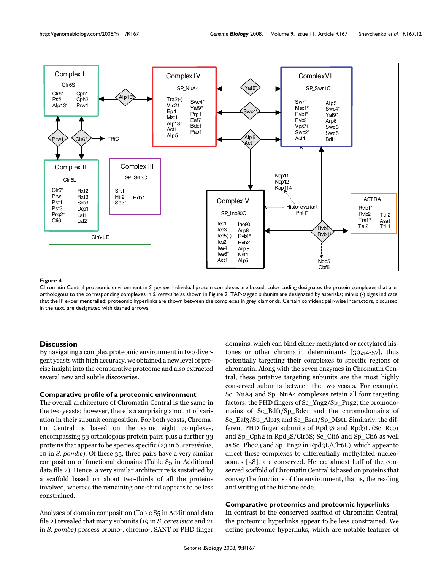

#### Figure 4

Chromatin Central proteomic environment in *S. pombe*. Individual protein complexes are boxed; color coding designates the protein complexes that are orthologous to the corresponding complexes in *S. cerevisiae* as shown in Figure 2. TAP-tagged subunits are designated by asterisks; minus (-) signs indicate that the IP experiment failed; proteomic hyperlinks are shown between the complexes in grey diamonds. Certain confident pair-wise interactors, discussed in the text, are designated with dashed arrows.

# **Discussion**

By navigating a complex proteomic environment in two divergent yeasts with high accuracy, we obtained a new level of precise insight into the comparative proteome and also extracted several new and subtle discoveries.

#### **Comparative profile of a proteomic environment**

The overall architecture of Chromatin Central is the same in the two yeasts; however, there is a surprising amount of variation in their subunit composition. For both yeasts, Chromatin Central is based on the same eight complexes, encompassing 53 orthologous protein pairs plus a further 33 proteins that appear to be species specific (23 in *S. cerevisiae*, 10 in *S. pombe*). Of these 33, three pairs have a very similar composition of functional domains (Table S5 in Additional data file 2). Hence, a very similar architecture is sustained by a scaffold based on about two-thirds of all the proteins involved, whereas the remaining one-third appears to be less constrained.

Analyses of domain composition (Table S5 in Additional data file 2) revealed that many subunits (19 in *S. cerevisiae* and 21 in *S. pombe*) possess bromo-, chromo-, SANT or PHD finger

domains, which can bind either methylated or acetylated histones or other chromatin determinants [30,54-57], thus potentially targeting their complexes to specific regions of chromatin. Along with the seven enzymes in Chromatin Central, these putative targeting subunits are the most highly conserved subunits between the two yeasts. For example, Sc\_NuA4 and Sp\_NuA4 complexes retain all four targeting factors: the PHD fingers of Sc\_Yng2/Sp\_Png2; the bromodomains of Sc\_Bdf1/Sp\_Bdc1 and the chromodomains of Sc\_Eaf3/Sp\_Alp13 and Sc\_Esa1/Sp\_Mst1. Similarly, the different PHD finger subunits of Rpd3S and Rpd3L (Sc\_Rco1 and Sp\_Cph2 in Rpd3S/Clr6S; Sc\_Cti6 and Sp\_Cti6 as well as Sc\_Pho23 and Sp\_Png2 in Rpd3L/Clr6L), which appear to direct these complexes to differentially methylated nucleosomes [58], are conserved. Hence, almost half of the conserved scaffold of Chromatin Central is based on proteins that convey the functions of the environment, that is, the reading and writing of the histone code.

# **Comparative proteomics and proteomic hyperlinks**

In contrast to the conserved scaffold of Chromatin Central, the proteomic hyperlinks appear to be less constrained. We define proteomic hyperlinks, which are notable features of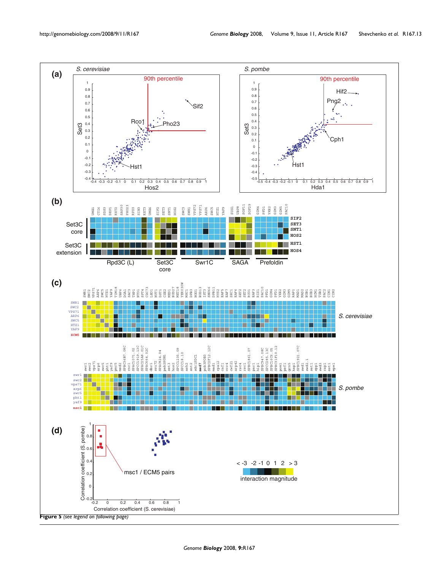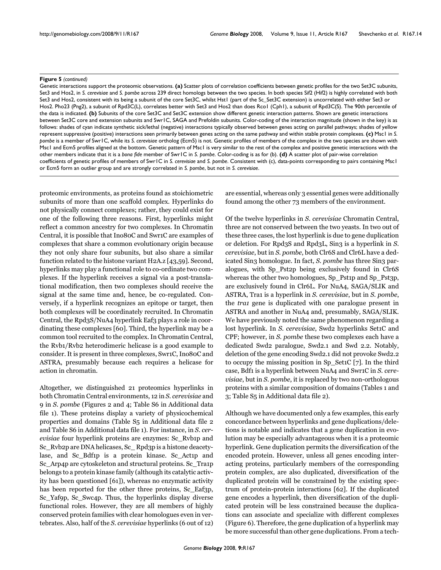#### **Figure 5** (continued)

Genetic interactions support the proteomic observations. **(a)** Scatter plots of correlation coefficients between genetic profiles for the two Set3C subunits, Set3 and Hos2, in *S. cerevisiae* and *S. pombe* across 239 direct homologs between the two species. In both species Sif2 (Hif2) is highly correlated with both Set3 and Hos2, consistent with its being a subunit of the core Set3C, whilst Hst1 (part of the Sc\_Set3C extension) is uncorrelated with either Set3 or Hos2. Pho23 (Png2), a subunit of Rpd3C(L), correlates better with Set3 and Hos2 than does Rco1 (Cph1), a subunit of Rpd3C(S). The 90th percentile of the data is indicated. **(b)** Subunits of the core Set3C and Set3C extension show different genetic interaction patterns. Shown are genetic interactions between Set3C core and extension subunits and Swr1C, SAGA and Prefoldin subunits. Color-coding of the interaction magnitude (shown in the key) is as follows: shades of cyan indicate synthetic sick/lethal (negative) interactions typically observed between genes acting on parallel pathways; shades of yellow represent suppressive (positive) interactions seen primarily between genes acting on the same pathway and within stable protein complexes. **(c)** Msc1 in *S. pombe* is a member of Swr1C, while its *S. cerevisiae* ortholog (Ecm5) is not. Genetic profiles of members of the complex in the two species are shown with Msc1 and Ecm5 profiles aligned at the bottom. Genetic pattern of Msc1 is very similar to the rest of the complex and positive genetic interactions with the other members indicate that it is a *bona fide* member of Swr1C in *S. pombe*. Color-coding is as for (b). **(d)** A scatter plot of pair-wise correlation coefficients of genetic profiles of members of Swr1C in *S. cerevisiae* and *S. pombe*. Consistent with (c), data-points corresponding to pairs containing Msc1 or Ecm5 form an outlier group and are strongly correlated in *S. pombe*, but not in *S. cerevisiae*.

proteomic environments, as proteins found as stoichiometric subunits of more than one scaffold complex. Hyperlinks do not physically connect complexes; rather, they could exist for one of the following three reasons. First, hyperlinks might reflect a common ancestry for two complexes. In Chromatin Central, it is possible that Ino80C and Swr1C are examples of complexes that share a common evolutionary origin because they not only share four subunits, but also share a similar function related to the histone variant H2A.z [43,59]. Second, hyperlinks may play a functional role to co-ordinate two complexes. If the hyperlink receives a signal via a post-translational modification, then two complexes should receive the signal at the same time and, hence, be co-regulated. Conversely, if a hyperlink recognizes an epitope or target, then both complexes will be coordinately recruited. In Chromatin Central, the Rpd3S/NuA4 hyperlink Eaf3 plays a role in coordinating these complexes [60]. Third, the hyperlink may be a common tool recruited to the complex. In Chromatin Central, the Rvb1/Rvb2 heterodimeric helicase is a good example to consider. It is present in three complexes, Swr1C, Ino80C and ASTRA, presumably because each requires a helicase for action in chromatin.

Altogether, we distinguished 21 proteomics hyperlinks in both Chromatin Central environments, 12 in *S. cerevisiae* and 9 in *S. pombe* (Figures 2 and 4; Table S6 in Additional data file 1). These proteins display a variety of physicochemical properties and domains (Table S5 in Additional data file 2 and Table S6 in Additional data file 1). For instance, in *S. cerevisiae* four hyperlink proteins are enzymes: Sc\_Rvb1p and Sc\_Rvb2p are DNA helicases, Sc\_ Rpd3p is a histone deacetylase, and Sc\_Bdf1p is a protein kinase. Sc\_Act1p and Sc\_Arp4p are cytoskeleton and structural proteins. Sc\_Tra1p belongs to a protein kinase family (although its catalytic activity has been questioned [61]), whereas no enzymatic activity has been reported for the other three proteins, Sc\_Eaf3p, Sc\_Yaf9p, Sc\_Swc4p. Thus, the hyperlinks display diverse functional roles. However, they are all members of highly conserved protein families with clear homologues even in vertebrates. Also, half of the *S. cerevisiae* hyperlinks (6 out of 12)

are essential, whereas only 3 essential genes were additionally found among the other 73 members of the environment.

Of the twelve hyperlinks in *S. cerevisiae* Chromatin Central, three are not conserved between the two yeasts. In two out of these three cases, the lost hyperlink is due to gene duplication or deletion. For Rpd3S and Rpd3L, Sin3 is a hyperlink in *S. cerevisiae*, but in *S. pombe*, both Clr6S and Clr6L have a dedicated Sin3 homologue. In fact, *S. pombe* has three Sin3 paralogues, with Sp\_Pst2p being exclusively found in Clr6S whereas the other two homologues, Sp\_Pst1p and Sp\_Pst3p, are exclusively found in Clr6L. For NuA4, SAGA/SLIK and ASTRA, Tra1 is a hyperlink in *S. cerevisiae*, but in *S. pombe*, the *tra1* gene is duplicated with one paralogue present in ASTRA and another in NuA4 and, presumably, SAGA/SLIK. We have previously noted the same phenomenon regarding a lost hyperlink. In *S. cerevisiae*, Swd2 hyperlinks Set1C and CPF; however, in *S. pombe* these two complexes each have a dedicated Swd2 paralogue, Swd2.1 and Swd 2.2. Notably, deletion of the gene encoding Swd2.1 did not provoke Swd2.2 to occupy the missing position in Sp\_Set1C  $[7]$  $[7]$  $[7]$ . In the third case, Bdf1 is a hyperlink between NuA4 and Swr1C in *S. cerevisiae*, but in *S. pombe*, it is replaced by two non-orthologous proteins with a similar composition of domains (Tables [1](#page-5-0) and [3](#page-8-0); Table S5 in Additional data file 2).

Although we have documented only a few examples, this early concordance between hyperlinks and gene duplications/deletions is notable and indicates that a gene duplication in evolution may be especially advantageous when it is a proteomic hyperlink. Gene duplication permits the diversification of the encoded protein. However, unless all genes encoding interacting proteins, particularly members of the corresponding protein complex, are also duplicated, diversification of the duplicated protein will be constrained by the existing spectrum of protein-protein interactions [62]. If the duplicated gene encodes a hyperlink, then diversification of the duplicated protein will be less constrained because the duplications can associate and specialize with different complexes (Figure 6). Therefore, the gene duplication of a hyperlink may be more successful than other gene duplications. From a tech-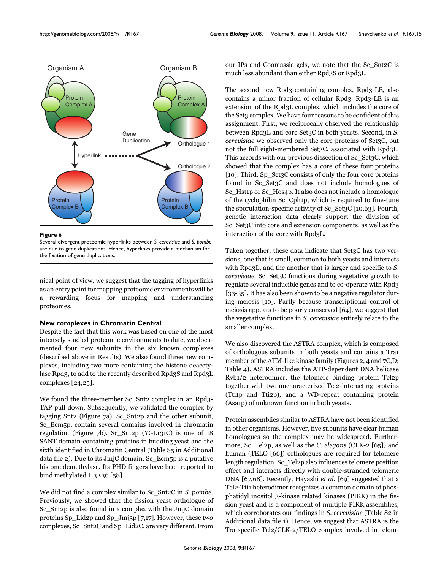

**Figure 6** 

Several divergent proteomic hyperlinks between *S. cerevisiae* and *S. pombe*  are due to gene duplications. Hence, hyperlinks provide a mechanism for the fixation of gene duplications.

nical point of view, we suggest that the tagging of hyperlinks as an entry point for mapping proteomic environments will be a rewarding focus for mapping and understanding proteomes.

# **New complexes in Chromatin Central**

Despite the fact that this work was based on one of the most intensely studied proteomic environments to date, we documented four new subunits in the six known complexes (described above in Results). We also found three new complexes, including two more containing the histone deacetylase Rpd3, to add to the recently described Rpd3S and Rpd3L complexes [24,25].

We found the three-member Sc\_Snt2 complex in an Rpd3- TAP pull down. Subsequently, we validated the complex by tagging Snt2 (Figure 7a). Sc\_Snt2p and the other subunit, Sc\_Ecm5p, contain several domains involved in chromatin regulation (Figure 7b). Sc\_Snt2p (YGL131C) is one of 18 SANT domain-containing proteins in budding yeast and the sixth identified in Chromatin Central (Table S5 in Additional data file 2). Due to its JmjC domain, Sc\_Ecm5p is a putative histone demethylase. Its PHD fingers have been reported to bind methylated H3K36 [58].

We did not find a complex similar to Sc\_Snt2C in *S. pombe*. Previously, we showed that the fission yeast orthologue of Sc\_Snt2p is also found in a complex with the JmjC domain proteins Sp\_Lid2p and Sp\_Jmj3p [\[7,](#page-19-0)17]. However, these two complexes, Sc\_Snt2C and Sp\_Lid2C, are very different. From

our IPs and Coomassie gels, we note that the Sc\_Snt2C is much less abundant than either Rpd3S or Rpd3L.

The second new Rpd3-containing complex, Rpd3-LE, also contains a minor fraction of cellular Rpd3. Rpd3-LE is an extension of the Rpd3L complex, which includes the core of the Set3 complex. We have four reasons to be confident of this assignment. First, we reciprocally observed the relationship between Rpd3L and core Set3C in both yeasts. Second, in *S. cerevisiae* we observed only the core proteins of Set3C, but not the full eight-membered Set3C, associated with Rpd3L. This accords with our previous dissection of Sc\_Set3C, which showed that the complex has a core of these four proteins [10]. Third, Sp\_Set3C consists of only the four core proteins found in Sc\_Set3C and does not include homologues of Sc\_Hst1p or Sc\_Hos4p. It also does not include a homologue of the cyclophilin Sc\_Cph1p, which is required to fine-tune the sporulation-specific activity of Sc\_Set3C [10,63]. Fourth, genetic interaction data clearly support the division of Sc Set<sub>3</sub>C into core and extension components, as well as the interaction of the core with Rpd3L.

Taken together, these data indicate that Set<sub>3</sub>C has two versions, one that is small, common to both yeasts and interacts with Rpd3L, and the another that is larger and specific to *S. cerevisiae*. Sc\_Set3C functions during vegetative growth to regulate several inducible genes and to co-operate with Rpd3 [33-35]. It has also been shown to be a negative regulator during meiosis [10]. Partly because transcriptional control of meiosis appears to be poorly conserved [64], we suggest that the vegetative functions in *S. cerevisiae* entirely relate to the smaller complex.

We also discovered the ASTRA complex, which is composed of orthologous subunits in both yeasts and contains a Tra1 member of the ATM-like kinase family (Figures 2, 4 and 7C,D; Table [4\)](#page-9-0). ASTRA includes the ATP-dependent DNA helicase Rvb1/2 heterodimer, the telomere binding protein Tel2p together with two uncharacterized Tel2-interacting proteins (Tti1p and Tti2p), and a WD-repeat containing protein (Asa1p) of unknown function in both yeasts.

Protein assemblies similar to ASTRA have not been identified in other organisms. However, five subunits have clear human homologues so the complex may be widespread. Furthermore, Sc\_Tel2p, as well as the *C. elegans* (CLK-2 [65]) and human (TELO [66]) orthologues are required for telomere length regulation. Sc\_Tel2p also influences telomere position effect and interacts directly with double-stranded telomeric DNA [67,68]. Recently, Hayashi *et al.* [69] suggested that a Tel2-Tti1 heterodimer recognizes a common domain of phosphatidyl inositol 3-kinase related kinases (PIKK) in the fission yeast and is a component of multiple PIKK assemblies, which corroborates our findings in *S. cerevisiae* (Table S2 in Additional data file 1). Hence, we suggest that ASTRA is the Tra-specific Tel2/CLK-2/TELO complex involved in telom-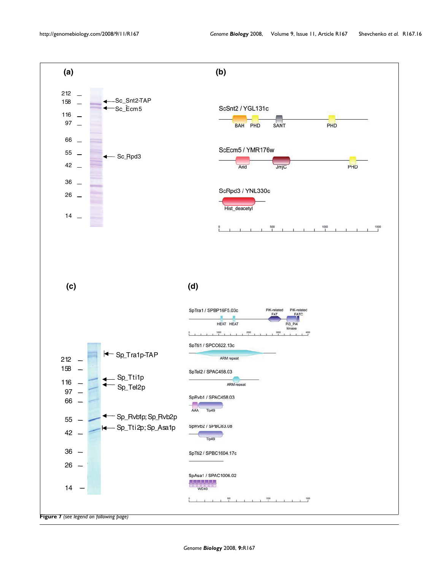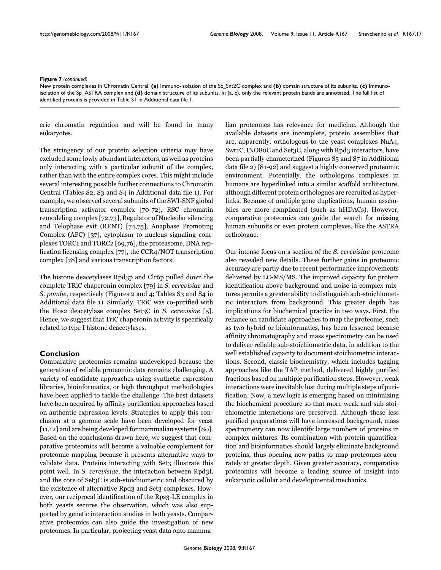#### Figure 7 (continued)

New protein complexes in Chromatin Central. **(a)** Immuno-isolation of the Sc\_Snt2C complex and **(b)** domain structure of its subunits. **(c)** Immunoisolation of the Sp\_ASTRA complex and **(d)** domain structure of its subunits. In (a, c), only the relevant protein bands are annotated. The full list of identified proteins is provided in Table S1 in Additional data file 1.

eric chromatin regulation and will be found in many eukaryotes.

The stringency of our protein selection criteria may have excluded some lowly abundant interactors, as well as proteins only interacting with a particular subunit of the complex, rather than with the entire complex cores. This might include several interesting possible further connections to Chromatin Central (Tables S2, S3 and S4 in Additional data file 1). For example, we observed several subunits of the SWI-SNF global transcription activator complex [70-72], RSC chromatin remodeling complex [72,73], Regulator of Nucleolar silencing and Telophase exit (RENT) [74,75], Anaphase Promoting Complex (APC) [37], cytoplasm to nucleus signaling complexes TORC1 and TORC2 [69,76], the proteasome, DNA replication licensing complex [77], the CCR4/NOT transcription complex [78] and various transcription factors.

The histone deacetylases Rpd3p and Clr6p pulled down the complete TRiC chaperonin complex [79] in *S. cerevisiae* and *S. pombe, respectively (Figures 2 and 4; Tables S3 and S4 in* Additional data file 1). Similarly, TRiC was co-purified with the Hos2 deacetylase complex Set3C in *S. cerevisiae* [5]. Hence, we suggest that TriC chaperonin activity is specifically related to type I histone deacetylases.

# **Conclusion**

Comparative proteomics remains undeveloped because the generation of reliable proteomic data remains challenging. A variety of candidate approaches using synthetic expression libraries, bioinformatics, or high throughput methodologies have been applied to tackle the challenge. The best datasets have been acquired by affinity purification approaches based on authentic expression levels. Strategies to apply this conclusion at a genome scale have been developed for yeast [11,12] and are being developed for mammalian systems [80]. Based on the conclusions drawn here, we suggest that comparative proteomics will become a valuable complement for proteomic mapping because it presents alternative ways to validate data. Proteins interacting with Set<sub>3</sub> illustrate this point well. In *S. cerevisiae*, the interaction between Rpd3L and the core of Set3C is sub-stoichiometric and obscured by the existence of alternative Rpd3 and Set3 complexes. However, our reciprocal identification of the Rps3-LE complex in both yeasts secures the observation, which was also supported by genetic interaction studies in both yeasts. Comparative proteomics can also guide the investigation of new proteomes. In particular, projecting yeast data onto mammalian proteomes has relevance for medicine. Although the available datasets are incomplete, protein assemblies that are, apparently, orthologous to the yeast complexes NuA4, Swr1C, INO80C and Set3C, along with Rpd3 interactors, have been partially characterized (Figures S5 and S7 in Additional data file 2) [81-92] and suggest a highly conserved proteomic environment. Potentially, the orthologous complexes in humans are hyperlinked into a similar scaffold architecture, although different protein orthologues are recruited as hyperlinks. Because of multiple gene duplications, human assemblies are more complicated (such as hHDACs). However, comparative proteomics can guide the search for missing human subunits or even protein complexes, like the ASTRA orthologue.

Our intense focus on a section of the *S. cerevisiae* proteome also revealed new details. These further gains in proteomic accuracy are partly due to recent performance improvements delivered by LC-MS/MS. The improved capacity for protein identification above background and noise in complex mixtures permits a greater ability to distinguish sub-stoichiometric interactors from background. This greater depth has implications for biochemical practice in two ways. First, the reliance on candidate approaches to map the proteome, such as two-hybrid or bioinformatics, has been lessened because affinity chromatography and mass spectrometry can be used to deliver reliable sub-stoichiometric data, in addition to the well established capacity to document stoichiometric interactions. Second, classic biochemistry, which includes tagging approaches like the TAP method, delivered highly purified fractions based on multiple purification steps. However, weak interactions were inevitably lost during multiple steps of purification. Now, a new logic is emerging based on minimizing the biochemical procedure so that more weak and sub-stoichiometric interactions are preserved. Although these less purified preparations will have increased background, mass spectrometry can now identify large numbers of proteins in complex mixtures. Its combination with protein quantification and bioinformatics should largely eliminate background proteins, thus opening new paths to map proteomes accurately at greater depth. Given greater accuracy, comparative proteomics will become a leading source of insight into eukaryotic cellular and developmental mechanics.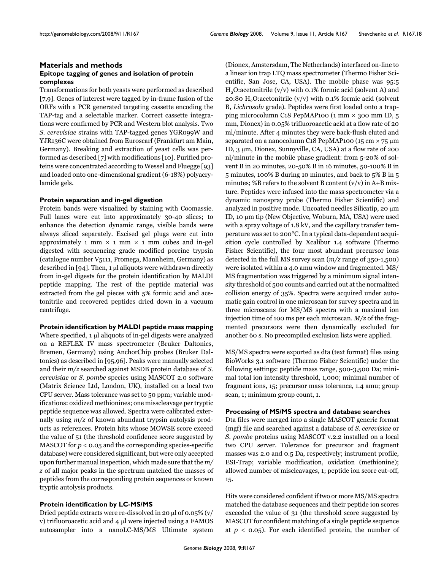# **Materials and methods Epitope tagging of genes and isolation of protein complexes**

Transformations for both yeasts were performed as described [[7](#page-19-0),9]. Genes of interest were tagged by in-frame fusion of the ORFs with a PCR generated targeting cassette encoding the TAP-tag and a selectable marker. Correct cassette integrations were confirmed by PCR and Western blot analysis. Two *S. cerevisiae* strains with TAP-tagged genes YGR099W and YJR136C were obtained from Euroscarf (Frankfurt am Main, Germany). Breaking and extraction of yeast cells was performed as described [\[7](#page-19-0)] with modifications [10]. Purified proteins were concentrated according to Wessel and Fluegge [93] and loaded onto one-dimensional gradient (6-18%) polyacrylamide gels.

# **Protein separation and in-gel digestion**

Protein bands were visualized by staining with Coomassie. Full lanes were cut into approximately 30-40 slices; to enhance the detection dynamic range, visible bands were always sliced separately. Excised gel plugs were cut into approximately 1 mm  $\times$  1 mm  $\times$  1 mm cubes and in-gel digested with sequencing grade modified porcine trypsin (catalogue number V5111, Promega, Mannheim, Germany) as described in [94]. Then,  $1 \mu l$  aliquots were withdrawn directly from in-gel digests for the protein identification by MALDI peptide mapping. The rest of the peptide material was extracted from the gel pieces with 5% formic acid and acetonitrile and recovered peptides dried down in a vacuum centrifuge.

#### **Protein identification by MALDI peptide mass mapping**

Where specified,  $1 \mu l$  aliquots of in-gel digests were analyzed on a REFLEX IV mass spectrometer (Bruker Daltonics, Bremen, Germany) using AnchorChip probes (Bruker Daltonics) as described in [95,96]. Peaks were manually selected and their *m/z* searched against MSDB protein database of *S. cerevisiae* or *S. pombe* species using MASCOT 2.0 software (Matrix Science Ltd, London, UK), installed on a local two CPU server. Mass tolerance was set to 50 ppm; variable modifications: oxidized methionines; one misscleavage per tryptic peptide sequence was allowed. Spectra were calibrated externally using *m/z* of known abundant trypsin autolysis products as references. Protein hits whose MOWSE score exceed the value of 51 (the threshold confidence score suggested by MASCOT for  $p < 0.05$  and the corresponding species-specific database) were considered significant, but were only accepted upon further manual inspection, which made sure that the *m/ z* of all major peaks in the spectrum matched the masses of peptides from the corresponding protein sequences or known tryptic autolysis products.

# **Protein identification by LC-MS/MS**

Dried peptide extracts were re-dissolved in 20  $\mu$ l of 0.05% (v/ v) trifluoroacetic acid and  $4 \mu$  were injected using a FAMOS autosampler into a nanoLC-MS/MS Ultimate system (Dionex, Amstersdam, The Netherlands) interfaced on-line to a linear ion trap LTQ mass spectrometer (Thermo Fisher Scientific, San Jose, CA, USA). The mobile phase was 95:5  $H<sub>2</sub>O:acetonitrile (v/v) with 0.1% formic acid (solvent A) and$ 20:80 H<sub>2</sub>O:acetonitrile (v/v) with 0.1% formic acid (solvent B, *Lichrosolv* grade). Peptides were first loaded onto a trapping microcolumn C18 PepMAP100 (1 mm × 300 mm ID, 5 mm, Dionex) in 0.05% trifluoroacetic acid at a flow rate of 20 ml/minute. After 4 minutes they were back-flush eluted and separated on a nanocolumn C18 PepMAP100 (15 cm  $\times$  75  $\mu$ m ID,  $3 \mu m$ , Dionex, Sunnyville, CA, USA) at a flow rate of 200 nl/minute in the mobile phase gradient: from 5-20% of solvent B in 20 minutes, 20-50% B in 16 minutes, 50-100% B in 5 minutes, 100% B during 10 minutes, and back to 5% B in 5 minutes; %B refers to the solvent B content  $(v/v)$  in A+B mixture. Peptides were infused into the mass spectrometer via a dynamic nanospray probe (Thermo Fisher Scientific) and analyzed in positive mode. Uncoated needles Silicatip, 20  $\mu$ m ID, 10 μm tip (New Objective, Woburn, MA, USA) were used with a spray voltage of 1.8 kV, and the capillary transfer temperature was set to 200°C. In a typical data-dependent acquisition cycle controlled by Xcalibur 1.4 software (Thermo Fisher Scientific), the four most abundant precursor ions detected in the full MS survey scan (*m/z* range of 350-1,500) were isolated within a 4.0 amu window and fragmented. MS/ MS fragmentation was triggered by a minimum signal intensity threshold of 500 counts and carried out at the normalized collision energy of 35%. Spectra were acquired under automatic gain control in one microscan for survey spectra and in three microscans for MS/MS spectra with a maximal ion injection time of 100 ms per each microscan. *M/z* of the fragmented precursors were then dynamically excluded for another 60 s. No precompiled exclusion lists were applied.

MS/MS spectra were exported as dta (text format) files using BioWorks 3.1 software (Thermo Fisher Scientific) under the following settings: peptide mass range, 500-3,500 Da; minimal total ion intensity threshold, 1,000; minimal number of fragment ions, 15; precursor mass tolerance, 1.4 amu; group scan, 1; minimum group count, 1.

## **Processing of MS/MS spectra and database searches**

Dta files were merged into a single MASCOT generic format (mgf) file and searched against a database of *S. cerevisiae* or *S. pombe proteins using MASCOT v.2.2 installed on a local* two CPU server. Tolerance for precursor and fragment masses was 2.0 and 0.5 Da, respectively; instrument profile, ESI-Trap; variable modification, oxidation (methionine); allowed number of miscleavages, 1; peptide ion score cut-off, 15.

Hits were considered confident if two or more MS/MS spectra matched the database sequences and their peptide ion scores exceeded the value of 31 (the threshold score suggested by MASCOT for confident matching of a single peptide sequence at  $p < 0.05$ ). For each identified protein, the number of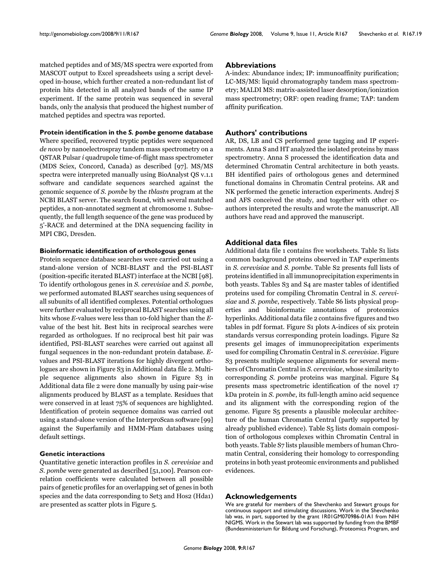matched peptides and of MS/MS spectra were exported from MASCOT output to Excel spreadsheets using a script developed in-house, which further created a non-redundant list of protein hits detected in all analyzed bands of the same IP experiment. If the same protein was sequenced in several bands, only the analysis that produced the highest number of matched peptides and spectra was reported.

## **Protein identification in the** *S. pombe* **genome database**

Where specified, recovered tryptic peptides were sequenced *de novo* by nanoelectrospray tandem mass spectrometry on a QSTAR Pulsar *i* quadrupole time-of-flight mass spectrometer (MDS Sciex, Concord, Canada) as described [97]. MS/MS spectra were interpreted manually using BioAnalyst QS v.1.1 software and candidate sequences searched against the genomic sequence of *S. pombe* by the *tblastn* program at the NCBI BLAST server. The search found, with several matched peptides, a non-annotated segment at chromosome 1. Subsequently, the full length sequence of the gene was produced by 5'-RACE and determined at the DNA sequencing facility in MPI CBG, Dresden.

# **Bioinformatic identification of orthologous genes**

Protein sequence database searches were carried out using a stand-alone version of NCBI-BLAST and the PSI-BLAST (position-specific iterated BLAST) interface at the NCBI [98]. To identify orthologous genes in *S. cerevisiae* and *S. pombe*, we performed automated BLAST searches using sequences of all subunits of all identified complexes. Potential orthologues were further evaluated by reciprocal BLAST searches using all hits whose *E*-values were less than 10-fold higher than the *E*value of the best hit. Best hits in reciprocal searches were regarded as orthologues. If no reciprocal best hit pair was identified, PSI-BLAST searches were carried out against all fungal sequences in the non-redundant protein database. *E*values and PSI-BLAST iterations for highly divergent orthologues are shown in Figure S3 in Additional data file 2. Multiple sequence alignments also shown in Figure S3 in Additional data file 2 were done manually by using pair-wise alignments produced by BLAST as a template. Residues that were conserved in at least 75% of sequences are highlighted. Identification of protein sequence domains was carried out using a stand-alone version of the InterproScan software [99] against the Superfamily and HMM-Pfam databases using default settings.

# **Genetic interactions**

Quantitative genetic interaction profiles in *S. cerevisiae* and *S. pombe* were generated as described [51,100]. Pearson correlation coefficients were calculated between all possible pairs of genetic profiles for an overlapping set of genes in both species and the data corresponding to Set3 and Hos2 (Hda1) are presented as scatter plots in Figure 5.

#### **Abbreviations**

A-index: Abundance index; IP: immunoaffinity purification; LC-MS/MS: liquid chromatography tandem mass spectrometry; MALDI MS: matrix-assisted laser desorption/ionization mass spectrometry; ORF: open reading frame; TAP: tandem affinity purification.

# **Authors' contributions**

AR, DS, LB and CS performed gene tagging and IP experiments. Anna S and HT analyzed the isolated proteins by mass spectrometry. Anna S processed the identification data and determined Chromatin Central architecture in both yeasts. BH identified pairs of orthologous genes and determined functional domains in Chromatin Central proteins. AR and NK performed the genetic interaction experiments. Andrej S and AFS conceived the study, and together with other coauthors interpreted the results and wrote the manuscript. All authors have read and approved the manuscript.

# **Additional data files**

Additional data file 1 contains five worksheets. Table S1 lists common background proteins observed in TAP experiments in *S. cerevisiae* and *S. pombe*. Table S2 presents full lists of proteins identified in all immunoprecipitation experiments in both yeasts. Tables S3 and S4 are master tables of identified proteins used for compiling Chromatin Central in *S. cerevisiae* and *S. pombe*, respectively. Table S6 lists physical properties and bioinformatic annotations of proteomics hyperlinks. Additional data file 2 contains five figures and two tables in pdf format. Figure S1 plots A-indices of six protein standards versus corresponding protein loadings. Figure S2 presents gel images of immunoprecipitation experiments used for compiling Chromatin Central in *S. cerevisiae*. Figure S3 presents multiple sequence alignments for several members of Chromatin Central in *S. cerevisiae*, whose similarity to corresponding *S. pombe* proteins was marginal. Figure S4 presents mass spectrometric identification of the novel 17 kDa protein in *S. pombe*, its full-length amino acid sequence and its alignment with the corresponding region of the genome. Figure S5 presents a plausible molecular architecture of the human Chromatin Central (partly supported by already published evidence). Table S5 lists domain composition of orthologous complexes within Chromatin Central in both yeasts. Table S7 lists plausible members of human Chromatin Central, considering their homology to corresponding proteins in both yeast proteomic environments and published evidences.

#### **Acknowledgements**

We are grateful for members of the Shevchenko and Stewart groups for continuous support and stimulating discussions. Work in the Shevchenko lab was, in part, supported by the grant IR01GM070986-01A1 from NIH NIGMS. Work in the Stewart lab was supported by funding from the BMBF (Bundesministerium für Bildung und Forschung), Proteomics Program, and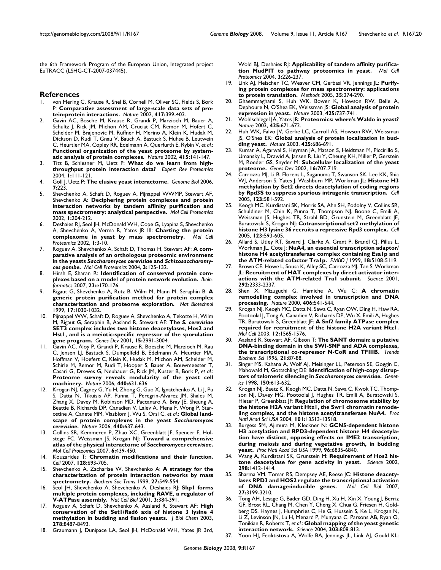the 6th Framework Program of the European Union, Integrated project EuTRACC (LSHG-CT-2007-037445).

#### **References**

- 1. von Mering C, Krause R, Snel B, Cornell M, Oliver SG, Fields S, Bork P: **[Comparative assessment of large-scale data sets of pro](http://www.ncbi.nlm.nih.gov/entrez/query.fcgi?cmd=Retrieve&db=PubMed&dopt=Abstract&list_uids=12000970)[tein-protein interactions.](http://www.ncbi.nlm.nih.gov/entrez/query.fcgi?cmd=Retrieve&db=PubMed&dopt=Abstract&list_uids=12000970)** *Nature* 2002, **417:**399-403.
- 2. Gavin AC, Bosche M, Krause R, Grandi P, Marzioch M, Bauer A, Schultz J, Rick JM, Michon AM, Cruciat CM, Remor M, Hofert C, Schelder M, Brajenovic M, Ruffner H, Merino A, Klein K, Hudak M, Dickson D, Rudi T, Gnau V, Bauch A, Bastuck S, Huhse B, Leutwein C, Heurtier MA, Copley RR, Edelmann A, Querfurth E, Rybin V, *et al.*: **[Functional organization of the yeast proteome by system](http://www.ncbi.nlm.nih.gov/entrez/query.fcgi?cmd=Retrieve&db=PubMed&dopt=Abstract&list_uids=11805826)[atic analysis of protein complexes.](http://www.ncbi.nlm.nih.gov/entrez/query.fcgi?cmd=Retrieve&db=PubMed&dopt=Abstract&list_uids=11805826)** *Nature* 2002, **415:**141-147.
- 3. Titz B, Schlesner M, Uetz P: **[What do we learn from high](http://www.ncbi.nlm.nih.gov/entrez/query.fcgi?cmd=Retrieve&db=PubMed&dopt=Abstract&list_uids=15966804)[throughput protein interaction data?](http://www.ncbi.nlm.nih.gov/entrez/query.fcgi?cmd=Retrieve&db=PubMed&dopt=Abstract&list_uids=15966804)** *Expert Rev Proteomics* 2004, **1:**111-121.
- 4. Goll J, Uetz P: **[The elusive yeast interactome.](http://www.ncbi.nlm.nih.gov/entrez/query.fcgi?cmd=Retrieve&db=PubMed&dopt=Abstract&list_uids=16938899)** *Genome Biol* 2006, **7:**223.
- 5. Shevchenko A, Schaft D, Roguev A, Pijnappel WWMP, Stewart AF, Shevchenko A: **[Deciphering protein complexes and protein](http://www.ncbi.nlm.nih.gov/entrez/query.fcgi?cmd=Retrieve&db=PubMed&dopt=Abstract&list_uids=12096120) [interaction networks by tandem affinity purification and](http://www.ncbi.nlm.nih.gov/entrez/query.fcgi?cmd=Retrieve&db=PubMed&dopt=Abstract&list_uids=12096120) [mass spectrometry: analytical perspective.](http://www.ncbi.nlm.nih.gov/entrez/query.fcgi?cmd=Retrieve&db=PubMed&dopt=Abstract&list_uids=12096120)** *Mol Cell Proteomics* 2002, **1:**204-212.
- 6. Deshaies RJ, Seol JH, McDonald WH, Cope G, Lyapina S, Shevchenko A, Shevchenko A, Verma R, Yates JR III: **[Charting the protein](http://www.ncbi.nlm.nih.gov/entrez/query.fcgi?cmd=Retrieve&db=PubMed&dopt=Abstract&list_uids=12096135) [complexome in yeast by mass spectrometry.](http://www.ncbi.nlm.nih.gov/entrez/query.fcgi?cmd=Retrieve&db=PubMed&dopt=Abstract&list_uids=12096135)** *Mol Cell Proteomics* 2002, **1:**3-10.
- <span id="page-19-0"></span>7. Roguev A, Shevchenko A, Schaft D, Thomas H, Stewart AF: **A comparative analysis of an orthologous proteomic environment in the yeasts** *Saccharomyces cerevisiae* **and** *Schizosaccharomyces pombe***[.](http://www.ncbi.nlm.nih.gov/entrez/query.fcgi?cmd=Retrieve&db=PubMed&dopt=Abstract&list_uids=14617822)** *Mol Cell Proteomics* 2004, **3:**125-132.
- 8. Hirsh E, Sharan R: **[Identification of conserved protein com](http://www.ncbi.nlm.nih.gov/entrez/query.fcgi?cmd=Retrieve&db=PubMed&dopt=Abstract&list_uids=17237088)[plexes based on a model of protein network evolution.](http://www.ncbi.nlm.nih.gov/entrez/query.fcgi?cmd=Retrieve&db=PubMed&dopt=Abstract&list_uids=17237088)** *Bioinformatics* 2007, **23:**e170-176.
- 9. Rigaut G, Shevchenko A, Rutz B, Wilm M, Mann M, Seraphin B: **[A](http://www.ncbi.nlm.nih.gov/entrez/query.fcgi?cmd=Retrieve&db=PubMed&dopt=Abstract&list_uids=10504710) [generic protein purification method for protein complex](http://www.ncbi.nlm.nih.gov/entrez/query.fcgi?cmd=Retrieve&db=PubMed&dopt=Abstract&list_uids=10504710) [characterization and proteome exploration.](http://www.ncbi.nlm.nih.gov/entrez/query.fcgi?cmd=Retrieve&db=PubMed&dopt=Abstract&list_uids=10504710)** *Nat Biotechnol* 1999, **17:**1030-1032.
- 10. Pijnappel WW, Schaft D, Roguev A, Shevchenko A, Tekotte H, Wilm M, Rigaut G, Seraphin B, Aasland R, Stewart AF: **The** *S. cerevisiae* **[SET3 complex includes two histone deacetylases, Hos2 and](http://www.ncbi.nlm.nih.gov/entrez/query.fcgi?cmd=Retrieve&db=PubMed&dopt=Abstract&list_uids=11711434) Hst1, and is a meiotic-specific repressor of the sporulation [gene program.](http://www.ncbi.nlm.nih.gov/entrez/query.fcgi?cmd=Retrieve&db=PubMed&dopt=Abstract&list_uids=11711434)** *Genes Dev* 2001, **15:**2991-3004.
- 11. Gavin AC, Aloy P, Grandi P, Krause R, Boesche M, Marzioch M, Rau C, Jensen LJ, Bastuck S, Dumpelfeld B, Edelmann A, Heurtier MA, Hoffman V, Hoefert C, Klein K, Hudak M, Michon AM, Schelder M, Schirle M, Remor M, Rudi T, Hooper S, Bauer A, Bouwmeester T, Casari G, Drewes G, Neubauer G, Rick JM, Kuster B, Bork P, *et al.*: **[Proteome survey reveals modularity of the yeast cell](http://www.ncbi.nlm.nih.gov/entrez/query.fcgi?cmd=Retrieve&db=PubMed&dopt=Abstract&list_uids=16429126) [machinery.](http://www.ncbi.nlm.nih.gov/entrez/query.fcgi?cmd=Retrieve&db=PubMed&dopt=Abstract&list_uids=16429126)** *Nature* 2006, **440:**631-636.
- 12. Krogan NJ, Cagney G, Yu H, Zhong G, Guo X, Ignatchenko A, Li J, Pu S, Datta N, Tikuisis AP, Punna T, Peregrin-Alvarez JM, Shales M, Zhang X, Davey M, Robinson MD, Paccanaro A, Bray JE, Sheung A, Beattie B, Richards DP, Canadien V, Lalev A, Mena F, Wong P, Starostine A, Canete MM, Vlasblom J, Wu S, Orsi C, *et al.*: **Global landscape of protein complexes in the yeast** *Saccharomyces cerevisiae***[.](http://www.ncbi.nlm.nih.gov/entrez/query.fcgi?cmd=Retrieve&db=PubMed&dopt=Abstract&list_uids=16554755)** *Nature* 2006, **440:**637-643.
- <span id="page-19-1"></span>13. Collins SR, Kemmeren P, Zhao XC, Greenblatt JF, Spencer F, Holstege FC, Weissman JS, Krogan NJ: **Toward a comprehensive atlas of the physical interactome of** *Saccharomyces cerevisiae***[.](http://www.ncbi.nlm.nih.gov/entrez/query.fcgi?cmd=Retrieve&db=PubMed&dopt=Abstract&list_uids=17200106)** *Mol Cell Proteomics* 2007, **6:**439-450.
- 14. Kouzarides T: **[Chromatin modifications and their function.](http://www.ncbi.nlm.nih.gov/entrez/query.fcgi?cmd=Retrieve&db=PubMed&dopt=Abstract&list_uids=17320507)** *Cell* 2007, **128:**693-705.
- 15. Shevchenko A, Zachariae W, Shevchenko A: **[A strategy for the](http://www.ncbi.nlm.nih.gov/entrez/query.fcgi?cmd=Retrieve&db=PubMed&dopt=Abstract&list_uids=10917640) [characterization of protein interaction networks by mass](http://www.ncbi.nlm.nih.gov/entrez/query.fcgi?cmd=Retrieve&db=PubMed&dopt=Abstract&list_uids=10917640) [spectrometry.](http://www.ncbi.nlm.nih.gov/entrez/query.fcgi?cmd=Retrieve&db=PubMed&dopt=Abstract&list_uids=10917640)** *Biochem Soc Trans* 1999, **27:**549-554.
- 16. Seol JH, Shevchenko A, Shevchenko A, Deshaies RJ: **[Skp1 forms](http://www.ncbi.nlm.nih.gov/entrez/query.fcgi?cmd=Retrieve&db=PubMed&dopt=Abstract&list_uids=11283612) [multiple protein complexes, including RAVE, a regulator of](http://www.ncbi.nlm.nih.gov/entrez/query.fcgi?cmd=Retrieve&db=PubMed&dopt=Abstract&list_uids=11283612) [V-ATPase assembly.](http://www.ncbi.nlm.nih.gov/entrez/query.fcgi?cmd=Retrieve&db=PubMed&dopt=Abstract&list_uids=11283612)** *Nat Cell Biol* 2001, **3:**384-391.
- 17. Roguev A, Schaft D, Shevchenko A, Aasland R, Stewart AF: **[High](http://www.ncbi.nlm.nih.gov/entrez/query.fcgi?cmd=Retrieve&db=PubMed&dopt=Abstract&list_uids=12488447) [conservation of the Set1/Rad6 axis of histone 3 lysine 4](http://www.ncbi.nlm.nih.gov/entrez/query.fcgi?cmd=Retrieve&db=PubMed&dopt=Abstract&list_uids=12488447) [methylation in budding and fission yeasts.](http://www.ncbi.nlm.nih.gov/entrez/query.fcgi?cmd=Retrieve&db=PubMed&dopt=Abstract&list_uids=12488447)** *J Biol Chem* 2003, **278:**8487-8493.
- 18. Graumann J, Dunipace LA, Seol JH, McDonald WH, Yates JR 3rd,

Wold BJ, Deshaies RJ: **[Applicability of tandem affinity purifica](http://www.ncbi.nlm.nih.gov/entrez/query.fcgi?cmd=Retrieve&db=PubMed&dopt=Abstract&list_uids=14660704)[tion MudPIT to pathway proteomics in yeast.](http://www.ncbi.nlm.nih.gov/entrez/query.fcgi?cmd=Retrieve&db=PubMed&dopt=Abstract&list_uids=14660704)** *Mol Cell Proteomics* 2004, **3:**226-237.

- 19. Link AJ, Fleischer TC, Weaver CM, Gerbasi VR, Jennings JL: **[Purify](http://www.ncbi.nlm.nih.gov/entrez/query.fcgi?cmd=Retrieve&db=PubMed&dopt=Abstract&list_uids=15722224)[ing protein complexes for mass spectrometry: applications](http://www.ncbi.nlm.nih.gov/entrez/query.fcgi?cmd=Retrieve&db=PubMed&dopt=Abstract&list_uids=15722224) [to protein translation.](http://www.ncbi.nlm.nih.gov/entrez/query.fcgi?cmd=Retrieve&db=PubMed&dopt=Abstract&list_uids=15722224)** *Methods* 2005, **35:**274-290.
- 20. Ghaemmaghami S, Huh WK, Bower K, Howson RW, Belle A, Dephoure N, O'Shea EK, Weissman JS: **[Global analysis of protein](http://www.ncbi.nlm.nih.gov/entrez/query.fcgi?cmd=Retrieve&db=PubMed&dopt=Abstract&list_uids=14562106) [expression in yeast.](http://www.ncbi.nlm.nih.gov/entrez/query.fcgi?cmd=Retrieve&db=PubMed&dopt=Abstract&list_uids=14562106)** *Nature* 2003, **425:**737-741.
- 21. Wohlschlegel JA, Yates JR: **[Proteomics: where's Waldo in yeast?](http://www.ncbi.nlm.nih.gov/entrez/query.fcgi?cmd=Retrieve&db=PubMed&dopt=Abstract&list_uids=14562083)** *Nature* 2003, **425:**671-672.
- 22. Huh WK, Falvo JV, Gerke LC, Carroll AS, Howson RW, Weissman JS, O'Shea EK: **[Global analysis of protein localization in bud](http://www.ncbi.nlm.nih.gov/entrez/query.fcgi?cmd=Retrieve&db=PubMed&dopt=Abstract&list_uids=14562095)[ding yeast.](http://www.ncbi.nlm.nih.gov/entrez/query.fcgi?cmd=Retrieve&db=PubMed&dopt=Abstract&list_uids=14562095)** *Nature* 2003, **425:**686-691.
- 23. Kumar A, Agarwal S, Heyman JA, Matson S, Heidtman M, Piccirillo S, Umansky L, Drawid A, Jansen R, Liu Y, Cheung KH, Miller P, Gerstein M, Roeder GS, Snyder M: **[Subcellular localization of the yeast](http://www.ncbi.nlm.nih.gov/entrez/query.fcgi?cmd=Retrieve&db=PubMed&dopt=Abstract&list_uids=11914276) [proteome.](http://www.ncbi.nlm.nih.gov/entrez/query.fcgi?cmd=Retrieve&db=PubMed&dopt=Abstract&list_uids=11914276)** *Genes Dev* 2002, **16:**707-719.
- 24. Carrozza MJ, Li B, Florens L, Suganuma T, Swanson SK, Lee KK, Shia WJ, Anderson S, Yates J, Washburn MP, Workman JL: **[Histone H3](http://www.ncbi.nlm.nih.gov/entrez/query.fcgi?cmd=Retrieve&db=PubMed&dopt=Abstract&list_uids=16286007) [methylation by Set2 directs deacetylation of coding regions](http://www.ncbi.nlm.nih.gov/entrez/query.fcgi?cmd=Retrieve&db=PubMed&dopt=Abstract&list_uids=16286007) [by Rpd3S to suppress spurious intragenic transcription.](http://www.ncbi.nlm.nih.gov/entrez/query.fcgi?cmd=Retrieve&db=PubMed&dopt=Abstract&list_uids=16286007)** *Cell* 2005, **123:**581-592.
- 25. Keogh MC, Kurdistani SK, Morris SA, Ahn SH, Podolny V, Collins SR, Schuldiner M, Chin K, Punna T, Thompson NJ, Boone C, Emili A, Weissman JS, Hughes TR, Strahl BD, Grunstein M, Greenblatt JF, Buratowski S, Krogan NJ: **[Cotranscriptional set2 methylation of](http://www.ncbi.nlm.nih.gov/entrez/query.fcgi?cmd=Retrieve&db=PubMed&dopt=Abstract&list_uids=16286008) [histone H3 lysine 36 recruits a repressive Rpd3 complex.](http://www.ncbi.nlm.nih.gov/entrez/query.fcgi?cmd=Retrieve&db=PubMed&dopt=Abstract&list_uids=16286008)** *Cell* 2005, **123:**593-605.
- 26. Allard S, Utley RT, Savard J, Clarke A, Grant P, Brandl CJ, Pillus L, Workman JL, Cote J: **[NuA4, an essential transcription adaptor/](http://www.ncbi.nlm.nih.gov/entrez/query.fcgi?cmd=Retrieve&db=PubMed&dopt=Abstract&list_uids=10487762) [histone H4 acetyltransferase complex containing Esa1p and](http://www.ncbi.nlm.nih.gov/entrez/query.fcgi?cmd=Retrieve&db=PubMed&dopt=Abstract&list_uids=10487762) [the ATM-related cofactor Tra1p.](http://www.ncbi.nlm.nih.gov/entrez/query.fcgi?cmd=Retrieve&db=PubMed&dopt=Abstract&list_uids=10487762)** *EMBO J* 1999, **18:**5108-5119.
- 27. Brown CE, Howe L, Sousa K, Alley SC, Carrozza MJ, Tan S, Workman JL: **[Recruitment of HAT complexes by direct activator inter](http://www.ncbi.nlm.nih.gov/entrez/query.fcgi?cmd=Retrieve&db=PubMed&dopt=Abstract&list_uids=11423663)[actions with the ATM-related Tra1 subunit.](http://www.ncbi.nlm.nih.gov/entrez/query.fcgi?cmd=Retrieve&db=PubMed&dopt=Abstract&list_uids=11423663)** *Science* 2001, **292:**2333-2337.
- 28. Shen X, Mizuguchi G, Hamiche A, Wu C: **[A chromatin](http://www.ncbi.nlm.nih.gov/entrez/query.fcgi?cmd=Retrieve&db=PubMed&dopt=Abstract&list_uids=10952318) [remodelling complex involved in transcription and DNA](http://www.ncbi.nlm.nih.gov/entrez/query.fcgi?cmd=Retrieve&db=PubMed&dopt=Abstract&list_uids=10952318) [processing.](http://www.ncbi.nlm.nih.gov/entrez/query.fcgi?cmd=Retrieve&db=PubMed&dopt=Abstract&list_uids=10952318)** *Nature* 2000, **406:**541-544.
- 29. Krogan NJ, Keogh MC, Datta N, Sawa C, Ryan OW, Ding H, Haw RA, Pootoolal J, Tong A, Canadien V, Richards DP, Wu X, Emili A, Hughes TR, Buratowski S, Greenblatt JF: **[A Snf2 family ATPase complex](http://www.ncbi.nlm.nih.gov/entrez/query.fcgi?cmd=Retrieve&db=PubMed&dopt=Abstract&list_uids=14690608) [required for recruitment of the histone H2A variant Htz1.](http://www.ncbi.nlm.nih.gov/entrez/query.fcgi?cmd=Retrieve&db=PubMed&dopt=Abstract&list_uids=14690608)** *Mol Cell* 2003, **12:**1565-1576.
- 30. Aasland R, Stewart AF, Gibson T: **[The SANT domain: a putative](http://www.ncbi.nlm.nih.gov/entrez/query.fcgi?cmd=Retrieve&db=PubMed&dopt=Abstract&list_uids=8882580) [DNA-binding domain in the SWI-SNF and ADA complexes,](http://www.ncbi.nlm.nih.gov/entrez/query.fcgi?cmd=Retrieve&db=PubMed&dopt=Abstract&list_uids=8882580) [the transcriptional co-repressor N-CoR and TFIIIB.](http://www.ncbi.nlm.nih.gov/entrez/query.fcgi?cmd=Retrieve&db=PubMed&dopt=Abstract&list_uids=8882580)** *Trends Biochem Sci* 1996, **21:**87-88.
- 31. Singer MS, Kahana A, Wolf AJ, Meisinger LL, Peterson SE, Goggin C, Mahowald M, Gottschling DE: **Identification of high-copy disruptors of telomeric silencing in** *Saccharomyces cerevisiae***[.](http://www.ncbi.nlm.nih.gov/entrez/query.fcgi?cmd=Retrieve&db=PubMed&dopt=Abstract&list_uids=9755194)** *Genetics* 1998, **150:**613-632.
- Krogan NJ, Baetz K, Keogh MC, Datta N, Sawa C, Kwok TC, Thompson NJ, Davey MG, Pootoolal J, Hughes TR, Emili A, Buratowski S, Hieter P, Greenblatt JF: **[Regulation of chromosome stability by](http://www.ncbi.nlm.nih.gov/entrez/query.fcgi?cmd=Retrieve&db=PubMed&dopt=Abstract&list_uids=15353583) [the histone H2A variant Htz1, the Swr1 chromatin remode](http://www.ncbi.nlm.nih.gov/entrez/query.fcgi?cmd=Retrieve&db=PubMed&dopt=Abstract&list_uids=15353583)[ling complex, and the histone acetyltransferase NuA4.](http://www.ncbi.nlm.nih.gov/entrez/query.fcgi?cmd=Retrieve&db=PubMed&dopt=Abstract&list_uids=15353583)** *Proc Natl Acad Sci USA* 2004, **101:**13513-13518.
- 33. Burgess SM, Ajimura M, Kleckner N: **[GCN5-dependent histone](http://www.ncbi.nlm.nih.gov/entrez/query.fcgi?cmd=Retrieve&db=PubMed&dopt=Abstract&list_uids=10359799) [H3 acetylation and RPD3-dependent histone H4 deacetyla](http://www.ncbi.nlm.nih.gov/entrez/query.fcgi?cmd=Retrieve&db=PubMed&dopt=Abstract&list_uids=10359799)tion have distinct, opposing effects on IME2 transcription, during meiosis and during vegetative growth, in budding [yeast.](http://www.ncbi.nlm.nih.gov/entrez/query.fcgi?cmd=Retrieve&db=PubMed&dopt=Abstract&list_uids=10359799)** *Proc Natl Acad Sci USA* 1999, **96:**6835-6840.
- 34. Wang A, Kurdistani SK, Grunstein M: **[Requirement of Hos2 his](http://www.ncbi.nlm.nih.gov/entrez/query.fcgi?cmd=Retrieve&db=PubMed&dopt=Abstract&list_uids=12434058)[tone deacetylase for gene activity in yeast.](http://www.ncbi.nlm.nih.gov/entrez/query.fcgi?cmd=Retrieve&db=PubMed&dopt=Abstract&list_uids=12434058)** *Science* 2002, **298:**1412-1414.
- 35. Sharma VM, Tomar RS, Dempsey AE, Reese JC: **[Histone deacety](http://www.ncbi.nlm.nih.gov/entrez/query.fcgi?cmd=Retrieve&db=PubMed&dopt=Abstract&list_uids=17296735)[lases RPD3 and HOS2 regulate the transcriptional activation](http://www.ncbi.nlm.nih.gov/entrez/query.fcgi?cmd=Retrieve&db=PubMed&dopt=Abstract&list_uids=17296735)** of **DNA** damage-inducible genes. **27:**3199-3210.
- 36. Tong AH, Lesage G, Bader GD, Ding H, Xu H, Xin X, Young J, Berriz GF, Brost RL, Chang M, Chen Y, Cheng X, Chua G, Friesen H, Goldberg DS, Haynes J, Humphries C, He G, Hussein S, Ke L, Krogan N, Li Z, Levinson JN, Lu H, Menard P, Munyana C, Parsons AB, Ryan O, Tonikian R, Roberts T, *et al.*: **[Global mapping of the yeast genetic](http://www.ncbi.nlm.nih.gov/entrez/query.fcgi?cmd=Retrieve&db=PubMed&dopt=Abstract&list_uids=14764870) [interaction network.](http://www.ncbi.nlm.nih.gov/entrez/query.fcgi?cmd=Retrieve&db=PubMed&dopt=Abstract&list_uids=14764870)** *Science* 2004, **303:**808-813.
- 37. Yoon HJ, Feoktistova A, Wolfe BA, Jennings JL, Link AJ, Gould KL: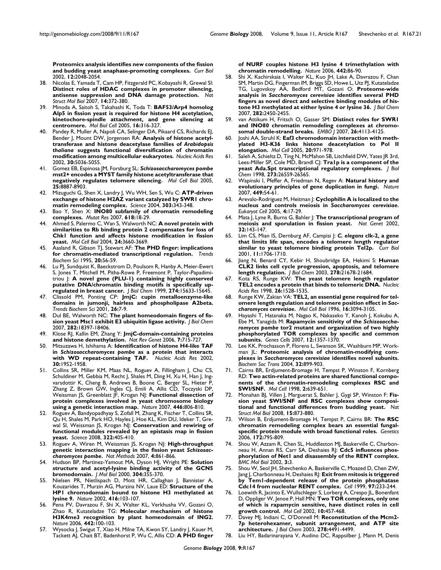**[Proteomics analysis identifies new components of the fission](http://www.ncbi.nlm.nih.gov/entrez/query.fcgi?cmd=Retrieve&db=PubMed&dopt=Abstract&list_uids=12477395) [and budding yeast anaphase-promoting complexes.](http://www.ncbi.nlm.nih.gov/entrez/query.fcgi?cmd=Retrieve&db=PubMed&dopt=Abstract&list_uids=12477395)** *Curr Biol* 2002, **12:**2048-2054.

- 38. Nicolas E, Yamada T, Cam HP, Fitzgerald PC, Kobayashi R, Grewal SI: **[Distinct roles of HDAC complexes in promoter silencing,](http://www.ncbi.nlm.nih.gov/entrez/query.fcgi?cmd=Retrieve&db=PubMed&dopt=Abstract&list_uids=17450151) [antisense suppression and DNA damage protection.](http://www.ncbi.nlm.nih.gov/entrez/query.fcgi?cmd=Retrieve&db=PubMed&dopt=Abstract&list_uids=17450151)** *Nat Struct Mol Biol* 2007, **14:**372-380.
- 39. Minoda A, Saitoh S, Takahashi K, Toda T: **[BAF53/Arp4 homolog](http://www.ncbi.nlm.nih.gov/entrez/query.fcgi?cmd=Retrieve&db=PubMed&dopt=Abstract&list_uids=15483052) [Alp5 in fission yeast is required for histone H4 acetylation,](http://www.ncbi.nlm.nih.gov/entrez/query.fcgi?cmd=Retrieve&db=PubMed&dopt=Abstract&list_uids=15483052) kinetochore-spindle attachment, and gene silencing at [centromere.](http://www.ncbi.nlm.nih.gov/entrez/query.fcgi?cmd=Retrieve&db=PubMed&dopt=Abstract&list_uids=15483052)** *Mol Biol Cell* 2005, **16:**316-327.
- 40. Pandey R, Muller A, Napoli CA, Selinger DA, Pikaard CS, Richards EJ, Bender J, Mount DW, Jorgensen RA: **Analysis of histone acetyltransferase and histone deacetylase families of** *Arabidopsis thaliana* **[suggests functional diversification of chromatin](http://www.ncbi.nlm.nih.gov/entrez/query.fcgi?cmd=Retrieve&db=PubMed&dopt=Abstract&list_uids=12466527) [modification among multicellular eukaryotes.](http://www.ncbi.nlm.nih.gov/entrez/query.fcgi?cmd=Retrieve&db=PubMed&dopt=Abstract&list_uids=12466527)** *Nucleic Acids Res* 2002, **30:**5036-5055.
- 41. Gomez EB, Espinosa JM, Forsburg SL: *Schizosaccharomyces pombe* **[mst2+ encodes a MYST family histone acetyltransferase that](http://www.ncbi.nlm.nih.gov/entrez/query.fcgi?cmd=Retrieve&db=PubMed&dopt=Abstract&list_uids=16199868) [negatively regulates telomere silencing.](http://www.ncbi.nlm.nih.gov/entrez/query.fcgi?cmd=Retrieve&db=PubMed&dopt=Abstract&list_uids=16199868)** *Mol Cell Biol* 2005, **25:**8887-8903.
- 42. Mizuguchi G, Shen X, Landry J, Wu WH, Sen S, Wu C: **[ATP-driven](http://www.ncbi.nlm.nih.gov/entrez/query.fcgi?cmd=Retrieve&db=PubMed&dopt=Abstract&list_uids=14645854) [exchange of histone H2AZ variant catalyzed by SWR1 chro](http://www.ncbi.nlm.nih.gov/entrez/query.fcgi?cmd=Retrieve&db=PubMed&dopt=Abstract&list_uids=14645854)[matin remodeling complex.](http://www.ncbi.nlm.nih.gov/entrez/query.fcgi?cmd=Retrieve&db=PubMed&dopt=Abstract&list_uids=14645854)** *Science* 2004, **303:**343-348.
- 43. Bao Y, Shen X: **[INO80 subfamily of chromatin remodeling](http://www.ncbi.nlm.nih.gov/entrez/query.fcgi?cmd=Retrieve&db=PubMed&dopt=Abstract&list_uids=17316710) [complexes.](http://www.ncbi.nlm.nih.gov/entrez/query.fcgi?cmd=Retrieve&db=PubMed&dopt=Abstract&list_uids=17316710)** *Mutat Res* 2007, **618:**18-29.
- 44. Ahmed S, Palermo C, Wan S, Walworth NC: **[A novel protein with](http://www.ncbi.nlm.nih.gov/entrez/query.fcgi?cmd=Retrieve&db=PubMed&dopt=Abstract&list_uids=15082762) [similarities to Rb binding protein 2 compensates for loss of](http://www.ncbi.nlm.nih.gov/entrez/query.fcgi?cmd=Retrieve&db=PubMed&dopt=Abstract&list_uids=15082762) Chk1 function and affects histone modification in fission [yeast.](http://www.ncbi.nlm.nih.gov/entrez/query.fcgi?cmd=Retrieve&db=PubMed&dopt=Abstract&list_uids=15082762)** *Mol Cell Biol* 2004, **24:**3660-3669.
- Aasland R, Gibson TJ, Stewart AF: [The PHD finger: implications](http://www.ncbi.nlm.nih.gov/entrez/query.fcgi?cmd=Retrieve&db=PubMed&dopt=Abstract&list_uids=7701562) **[for chromatin-mediated transcriptional regulation.](http://www.ncbi.nlm.nih.gov/entrez/query.fcgi?cmd=Retrieve&db=PubMed&dopt=Abstract&list_uids=7701562)** *Trends Biochem Sci* 1995, **20:**56-59.
- 46. Lu PJ, Sundquist K, Baeckstrom D, Poulsom R, Hanby A, Meier-Ewert S, Jones T, Mitchell M, Pitha-Rowe P, Freemont P, Taylor-Papadimitriou J: **[A novel gene \(PLU-1\) containing highly conserved](http://www.ncbi.nlm.nih.gov/entrez/query.fcgi?cmd=Retrieve&db=PubMed&dopt=Abstract&list_uids=10336460) [putative DNA/chromatin binding motifs is specifically up](http://www.ncbi.nlm.nih.gov/entrez/query.fcgi?cmd=Retrieve&db=PubMed&dopt=Abstract&list_uids=10336460)[regulated in breast cancer.](http://www.ncbi.nlm.nih.gov/entrez/query.fcgi?cmd=Retrieve&db=PubMed&dopt=Abstract&list_uids=10336460)** *J Biol Chem* 1999, **274:**15633-15645.
- 47. Clissold PM, Ponting CP: **[JmjC: cupin metalloenzyme-like](http://www.ncbi.nlm.nih.gov/entrez/query.fcgi?cmd=Retrieve&db=PubMed&dopt=Abstract&list_uids=11165500) [domains in jumonji, hairless and phospholipase A2beta.](http://www.ncbi.nlm.nih.gov/entrez/query.fcgi?cmd=Retrieve&db=PubMed&dopt=Abstract&list_uids=11165500)** *Trends Biochem Sci* 2001, **26:**7-9.
- 48. Dul BE, Walworth NC: **[The plant homeodomain fingers of fis](http://www.ncbi.nlm.nih.gov/entrez/query.fcgi?cmd=Retrieve&db=PubMed&dopt=Abstract&list_uids=17456468)[sion yeast Msc1 exhibit E3 ubiquitin ligase activity.](http://www.ncbi.nlm.nih.gov/entrez/query.fcgi?cmd=Retrieve&db=PubMed&dopt=Abstract&list_uids=17456468)** *J Biol Chem* 2007, **282:**18397-18406.
- 49. Klose RJ, Kallin EM, Zhang Y: **[JmjC-domain-containing proteins](http://www.ncbi.nlm.nih.gov/entrez/query.fcgi?cmd=Retrieve&db=PubMed&dopt=Abstract&list_uids=16983801) [and histone demethylation.](http://www.ncbi.nlm.nih.gov/entrez/query.fcgi?cmd=Retrieve&db=PubMed&dopt=Abstract&list_uids=16983801)** *Nat Rev Genet* 2006, **7:**715-727.
- 50. Mitsuzawa H, Ishihama A: **Identification of histone H4-like TAF in** *Schizosaccharomyces pombe* **[as a protein that interacts](http://www.ncbi.nlm.nih.gov/entrez/query.fcgi?cmd=Retrieve&db=PubMed&dopt=Abstract&list_uids=11972332) [with WD repeat-containing TAF.](http://www.ncbi.nlm.nih.gov/entrez/query.fcgi?cmd=Retrieve&db=PubMed&dopt=Abstract&list_uids=11972332)** *Nucleic Acids Res* 2002, **30:**1952-1958.
- 51. Collins SR, Miller KM, Maas NL, Roguev A, Fillingham J, Chu CS, Schuldiner M, Gebbia M, Recht J, Shales M, Ding H, Xu H, Han J, Ingvarsdottir K, Cheng B, Andrews B, Boone C, Berger SL, Hieter P, Zhang Z, Brown GW, Ingles CJ, Emili A, Allis CD, Toczyski DP, Weissman JS, Greenblatt JF, Krogan NJ: **[Functional dissection of](http://www.ncbi.nlm.nih.gov/entrez/query.fcgi?cmd=Retrieve&db=PubMed&dopt=Abstract&list_uids=17314980) [protein complexes involved in yeast chromosome biology](http://www.ncbi.nlm.nih.gov/entrez/query.fcgi?cmd=Retrieve&db=PubMed&dopt=Abstract&list_uids=17314980) [using a genetic interaction map.](http://www.ncbi.nlm.nih.gov/entrez/query.fcgi?cmd=Retrieve&db=PubMed&dopt=Abstract&list_uids=17314980)** *Nature* 2007, **446:**806-810.
- 52. Roguev A, Bandyopadhyay S, Zofall M, Zhang K, Fischer T, Collins SR, Qu H, Shales M, Park HO, Hayles J, Hoe KL, Kim DU, Ideker T, Grewal SI, Weissman JS, Krogan NJ: **[Conservation and rewiring of](http://www.ncbi.nlm.nih.gov/entrez/query.fcgi?cmd=Retrieve&db=PubMed&dopt=Abstract&list_uids=18818364) [functional modules revealed by an epistasis map in fission](http://www.ncbi.nlm.nih.gov/entrez/query.fcgi?cmd=Retrieve&db=PubMed&dopt=Abstract&list_uids=18818364) [yeast.](http://www.ncbi.nlm.nih.gov/entrez/query.fcgi?cmd=Retrieve&db=PubMed&dopt=Abstract&list_uids=18818364)** *Science* 2008, **322:**405-410.
- 53. Roguev A, Wiren M, Weissman JS, Krogan NJ: **High-throughput genetic interaction mapping in the fission yeast** *Schizosaccharomyces pombe***[.](http://www.ncbi.nlm.nih.gov/entrez/query.fcgi?cmd=Retrieve&db=PubMed&dopt=Abstract&list_uids=17893680)** *Nat Methods* 2007, **4:**861-866.
- 54. Hudson BP, Martinez-Yamout MA, Dyson HJ, Wright PE: **[Solution](http://www.ncbi.nlm.nih.gov/entrez/query.fcgi?cmd=Retrieve&db=PubMed&dopt=Abstract&list_uids=11090279) [structure and acetyl-lysine binding activity of the GCN5](http://www.ncbi.nlm.nih.gov/entrez/query.fcgi?cmd=Retrieve&db=PubMed&dopt=Abstract&list_uids=11090279) [bromodomain.](http://www.ncbi.nlm.nih.gov/entrez/query.fcgi?cmd=Retrieve&db=PubMed&dopt=Abstract&list_uids=11090279)** *J Mol Biol* 2000, **304:**355-370.
- 55. Nielsen PR, Nietlispach D, Mott HR, Callaghan J, Bannister A, Kouzarides T, Murzin AG, Murzina NV, Laue ED: **[Structure of the](http://www.ncbi.nlm.nih.gov/entrez/query.fcgi?cmd=Retrieve&db=PubMed&dopt=Abstract&list_uids=11882902) [HP1 chromodomain bound to histone H3 methylated at](http://www.ncbi.nlm.nih.gov/entrez/query.fcgi?cmd=Retrieve&db=PubMed&dopt=Abstract&list_uids=11882902) [lysine 9.](http://www.ncbi.nlm.nih.gov/entrez/query.fcgi?cmd=Retrieve&db=PubMed&dopt=Abstract&list_uids=11882902)** *Nature* 2002, **416:**103-107.
- Pena PV, Davrazou F, Shi X, Walter KL, Verkhusha VV, Gozani O, Zhao R, Kutateladze TG: **[Molecular mechanism of histone](http://www.ncbi.nlm.nih.gov/entrez/query.fcgi?cmd=Retrieve&db=PubMed&dopt=Abstract&list_uids=16728977) [H3K4me3 recognition by plant homeodomain of ING2.](http://www.ncbi.nlm.nih.gov/entrez/query.fcgi?cmd=Retrieve&db=PubMed&dopt=Abstract&list_uids=16728977)** *Nature* 2006, **442:**100-103.
- 57. Wysocka J, Swigut T, Xiao H, Milne TA, Kwon SY, Landry J, Kauer M, Tackett AJ, Chait BT, Badenhorst P, Wu C, Allis CD: **[A PHD finger](http://www.ncbi.nlm.nih.gov/entrez/query.fcgi?cmd=Retrieve&db=PubMed&dopt=Abstract&list_uids=16728976)**

**[of NURF couples histone H3 lysine 4 trimethylation with](http://www.ncbi.nlm.nih.gov/entrez/query.fcgi?cmd=Retrieve&db=PubMed&dopt=Abstract&list_uids=16728976) [chromatin remodelling.](http://www.ncbi.nlm.nih.gov/entrez/query.fcgi?cmd=Retrieve&db=PubMed&dopt=Abstract&list_uids=16728976)** *Nature* 2006, **442:**86-90.

- 58. Shi X, Kachirskaia I, Walter KL, Kuo JH, Lake A, Davrazou F, Chan SM, Martin DG, Fingerman IM, Briggs SD, Howe L, Utz PJ, Kutateladze TG, Lugovskoy AA, Bedford MT, Gozani O: **Proteome-wide analysis in** *Saccharomyces cerevisiae* **[identifies several PHD](http://www.ncbi.nlm.nih.gov/entrez/query.fcgi?cmd=Retrieve&db=PubMed&dopt=Abstract&list_uids=17142463) [fingers as novel direct and selective binding modules of his](http://www.ncbi.nlm.nih.gov/entrez/query.fcgi?cmd=Retrieve&db=PubMed&dopt=Abstract&list_uids=17142463)[tone H3 methylated at either lysine 4 or lysine 36.](http://www.ncbi.nlm.nih.gov/entrez/query.fcgi?cmd=Retrieve&db=PubMed&dopt=Abstract&list_uids=17142463)** *J Biol Chem* 2007, **282:**2450-2455.
- 59. van Attikum H, Fritsch O, Gasser SM: **[Distinct roles for SWR1](http://www.ncbi.nlm.nih.gov/entrez/query.fcgi?cmd=Retrieve&db=PubMed&dopt=Abstract&list_uids=17762868) [and INO80 chromatin remodeling complexes at chromo](http://www.ncbi.nlm.nih.gov/entrez/query.fcgi?cmd=Retrieve&db=PubMed&dopt=Abstract&list_uids=17762868)[somal double-strand breaks.](http://www.ncbi.nlm.nih.gov/entrez/query.fcgi?cmd=Retrieve&db=PubMed&dopt=Abstract&list_uids=17762868)** *EMBO J* 2007, **26:**4113-4125.
- 60. Joshi AA, Struhl K: **[Eaf3 chromodomain interaction with meth](http://www.ncbi.nlm.nih.gov/entrez/query.fcgi?cmd=Retrieve&db=PubMed&dopt=Abstract&list_uids=16364921)[ylated H3-K36 links histone deacetylation to Pol II](http://www.ncbi.nlm.nih.gov/entrez/query.fcgi?cmd=Retrieve&db=PubMed&dopt=Abstract&list_uids=16364921) [elongation.](http://www.ncbi.nlm.nih.gov/entrez/query.fcgi?cmd=Retrieve&db=PubMed&dopt=Abstract&list_uids=16364921)** *Mol Cell* 2005, **20:**971-978.
- 61. Saleh A, Schieltz D, Ting N, McMahon SB, Litchfield DW, Yates JR 3rd, Lees-Miller SP, Cole MD, Brandl CJ: **[Tra1p is a component of the](http://www.ncbi.nlm.nih.gov/entrez/query.fcgi?cmd=Retrieve&db=PubMed&dopt=Abstract&list_uids=9756893) [yeast Ada.Spt transcriptional regulatory complexes.](http://www.ncbi.nlm.nih.gov/entrez/query.fcgi?cmd=Retrieve&db=PubMed&dopt=Abstract&list_uids=9756893)** *J Biol Chem* 1998, **273:**26559-26565.
- 62. Wapinski I, Pfeffer A, Friedman N, Regev A: **[Natural history and](http://www.ncbi.nlm.nih.gov/entrez/query.fcgi?cmd=Retrieve&db=PubMed&dopt=Abstract&list_uids=17805289) [evolutionary principles of gene duplication in fungi.](http://www.ncbi.nlm.nih.gov/entrez/query.fcgi?cmd=Retrieve&db=PubMed&dopt=Abstract&list_uids=17805289)** *Nature* 2007, **449:**54-61.
- 63. Arevalo-Rodriguez M, Heitman J: **Cyclophilin A is localized to the nucleus and controls meiosis in** *Saccharomyces cerevisiae***[.](http://www.ncbi.nlm.nih.gov/entrez/query.fcgi?cmd=Retrieve&db=PubMed&dopt=Abstract&list_uids=15643056)** *Eukaryot Cell* 2005, **4:**17-29.
- 64. Mata J, Lyne R, Burns G, Bahler J: **[The transcriptional program of](http://www.ncbi.nlm.nih.gov/entrez/query.fcgi?cmd=Retrieve&db=PubMed&dopt=Abstract&list_uids=12161753) [meiosis and sporulation in fission yeast.](http://www.ncbi.nlm.nih.gov/entrez/query.fcgi?cmd=Retrieve&db=PubMed&dopt=Abstract&list_uids=12161753)** *Nat Genet* 2002, **32:**143-147.
- 65. Lim CS, Mian IS, Dernburg AF, Campisi J: *C. elegans* **[clk-2, a gene](http://www.ncbi.nlm.nih.gov/entrez/query.fcgi?cmd=Retrieve&db=PubMed&dopt=Abstract&list_uids=11696330) [that limits life span, encodes a telomere length regulator](http://www.ncbi.nlm.nih.gov/entrez/query.fcgi?cmd=Retrieve&db=PubMed&dopt=Abstract&list_uids=11696330) [similar to yeast telomere binding protein Tel2p.](http://www.ncbi.nlm.nih.gov/entrez/query.fcgi?cmd=Retrieve&db=PubMed&dopt=Abstract&list_uids=11696330)** *Curr Biol* 2001, **11:**1706-1710.
- 66. Jiang N, Benard CY, Kebir H, Shoubridge EA, Hekimi S: **[Human](http://www.ncbi.nlm.nih.gov/entrez/query.fcgi?cmd=Retrieve&db=PubMed&dopt=Abstract&list_uids=12670948) [CLK2 links cell cycle progression, apoptosis, and telomere](http://www.ncbi.nlm.nih.gov/entrez/query.fcgi?cmd=Retrieve&db=PubMed&dopt=Abstract&list_uids=12670948) [length regulation.](http://www.ncbi.nlm.nih.gov/entrez/query.fcgi?cmd=Retrieve&db=PubMed&dopt=Abstract&list_uids=12670948)** *J Biol Chem* 2003, **278:**21678-21684.
- 67. Kota RS, Runge KW: **[The yeast telomere length regulator](http://www.ncbi.nlm.nih.gov/entrez/query.fcgi?cmd=Retrieve&db=PubMed&dopt=Abstract&list_uids=9490802) [TEL2 encodes a protein that binds to telomeric DNA.](http://www.ncbi.nlm.nih.gov/entrez/query.fcgi?cmd=Retrieve&db=PubMed&dopt=Abstract&list_uids=9490802)** *Nucleic Acids Res* 1998, **26:**1528-1535.
- 68. Runge KW, Zakian VA: **TEL2, an essential gene required for telomere length regulation and telomere position effect in** *Saccharomyces cerevisiae***[.](http://www.ncbi.nlm.nih.gov/entrez/query.fcgi?cmd=Retrieve&db=PubMed&dopt=Abstract&list_uids=8649421)** *Mol Cell Biol* 1996, **16:**3094-3105.
- 69. Hayashi T, Hatanaka M, Nagao K, Nakaseko Y, Kanoh J, Kokubu A, Ebe M, Yanagida M: **Rapamycin sensitivity of the** *Schizosaccharomyces pombe* **[tor2 mutant and organization of two highly](http://www.ncbi.nlm.nih.gov/entrez/query.fcgi?cmd=Retrieve&db=PubMed&dopt=Abstract&list_uids=18076573) [phosphorylated TOR complexes by specific and common](http://www.ncbi.nlm.nih.gov/entrez/query.fcgi?cmd=Retrieve&db=PubMed&dopt=Abstract&list_uids=18076573) [subunits.](http://www.ncbi.nlm.nih.gov/entrez/query.fcgi?cmd=Retrieve&db=PubMed&dopt=Abstract&list_uids=18076573)** *Genes Cells* 2007, **12:**1357-1370.
- 70. Lee KK, Prochasson P, Florens L, Swanson SK, Washburn MP, Workman JL: **Proteomic analysis of chromatin-modifying complexes in** *Saccharomyces cerevisiae* **[identifies novel subunits.](http://www.ncbi.nlm.nih.gov/entrez/query.fcgi?cmd=Retrieve&db=PubMed&dopt=Abstract&list_uids=15506919)** *Biochem Soc Trans* 2004, **32:**899-903.
- 71. Cairns BR, Erdjument-Bromage H, Tempst P, Winston F, Kornberg RD: **[Two actin-related proteins are shared functional compo](http://www.ncbi.nlm.nih.gov/entrez/query.fcgi?cmd=Retrieve&db=PubMed&dopt=Abstract&list_uids=9844636)[nents of the chromatin-remodeling complexes RSC and](http://www.ncbi.nlm.nih.gov/entrez/query.fcgi?cmd=Retrieve&db=PubMed&dopt=Abstract&list_uids=9844636) [SWI/SNF.](http://www.ncbi.nlm.nih.gov/entrez/query.fcgi?cmd=Retrieve&db=PubMed&dopt=Abstract&list_uids=9844636)** *Mol Cell* 1998, **2:**639-651.
- 72. Monahan BJ, Villen J, Marguerat S, Bahler J, Gygi SP, Winston F: **[Fis](http://www.ncbi.nlm.nih.gov/entrez/query.fcgi?cmd=Retrieve&db=PubMed&dopt=Abstract&list_uids=18622392)[sion yeast SWI/SNF and RSC complexes show composi](http://www.ncbi.nlm.nih.gov/entrez/query.fcgi?cmd=Retrieve&db=PubMed&dopt=Abstract&list_uids=18622392)[tional and functional differences from budding yeast.](http://www.ncbi.nlm.nih.gov/entrez/query.fcgi?cmd=Retrieve&db=PubMed&dopt=Abstract&list_uids=18622392)** *Nat Struct Mol Biol* 2008, **15:**873-880.
- 73. Wilson B, Erdjument-Bromage H, Tempst P, Cairns BR: **[The RSC](http://www.ncbi.nlm.nih.gov/entrez/query.fcgi?cmd=Retrieve&db=PubMed&dopt=Abstract&list_uids=16204215) [chromatin remodeling complex bears an essential fungal](http://www.ncbi.nlm.nih.gov/entrez/query.fcgi?cmd=Retrieve&db=PubMed&dopt=Abstract&list_uids=16204215)[specific protein module with broad functional roles.](http://www.ncbi.nlm.nih.gov/entrez/query.fcgi?cmd=Retrieve&db=PubMed&dopt=Abstract&list_uids=16204215)** *Genetics* 2006, **172:**795-809.
- 74. Shou W, Azzam R, Chen SL, Huddleston MJ, Baskerville C, Charbonneau H, Annan RS, Carr SA, Deshaies RJ: **[Cdc5 influences phos](http://www.ncbi.nlm.nih.gov/entrez/query.fcgi?cmd=Retrieve&db=PubMed&dopt=Abstract&list_uids=11960554)[phorylation of Net1 and disassembly of the RENT complex.](http://www.ncbi.nlm.nih.gov/entrez/query.fcgi?cmd=Retrieve&db=PubMed&dopt=Abstract&list_uids=11960554)** *BMC Mol Biol* 2002, **3:**3.
- 75. Shou W, Seol JH, Shevchenko A, Baskerville C, Moazed D, Chen ZW, Jang J, Charbonneau H, Deshaies RJ: **[Exit from mitosis is triggered](http://www.ncbi.nlm.nih.gov/entrez/query.fcgi?cmd=Retrieve&db=PubMed&dopt=Abstract&list_uids=10219244) [by Tem1-dependent release of the protein phosphatase](http://www.ncbi.nlm.nih.gov/entrez/query.fcgi?cmd=Retrieve&db=PubMed&dopt=Abstract&list_uids=10219244) [Cdc14 from nucleolar RENT complex.](http://www.ncbi.nlm.nih.gov/entrez/query.fcgi?cmd=Retrieve&db=PubMed&dopt=Abstract&list_uids=10219244)** *Cell* 1999, **97:**233-244.
- 76. Loewith R, Jacinto E, Wullschleger S, Lorberg A, Crespo JL, Bonenfant D, Oppliger W, Jenoe P, Hall MN: **[Two TOR complexes, only one](http://www.ncbi.nlm.nih.gov/entrez/query.fcgi?cmd=Retrieve&db=PubMed&dopt=Abstract&list_uids=12408816) [of which is rapamycin sensitive, have distinct roles in cell](http://www.ncbi.nlm.nih.gov/entrez/query.fcgi?cmd=Retrieve&db=PubMed&dopt=Abstract&list_uids=12408816) [growth control.](http://www.ncbi.nlm.nih.gov/entrez/query.fcgi?cmd=Retrieve&db=PubMed&dopt=Abstract&list_uids=12408816)** *Mol Cell* 2002, **10:**457-468.
- 77. Davey MJ, Indiani C, O'Donnell M: **[Reconstitution of the Mcm2-](http://www.ncbi.nlm.nih.gov/entrez/query.fcgi?cmd=Retrieve&db=PubMed&dopt=Abstract&list_uids=12480933) [7p heterohexamer, subunit arrangement, and ATP site](http://www.ncbi.nlm.nih.gov/entrez/query.fcgi?cmd=Retrieve&db=PubMed&dopt=Abstract&list_uids=12480933) [architecture.](http://www.ncbi.nlm.nih.gov/entrez/query.fcgi?cmd=Retrieve&db=PubMed&dopt=Abstract&list_uids=12480933)** *J Biol Chem* 2003, **278:**4491-4499.
- 78. Liu HY, Badarinarayana V, Audino DC, Rappsilber J, Mann M, Denis